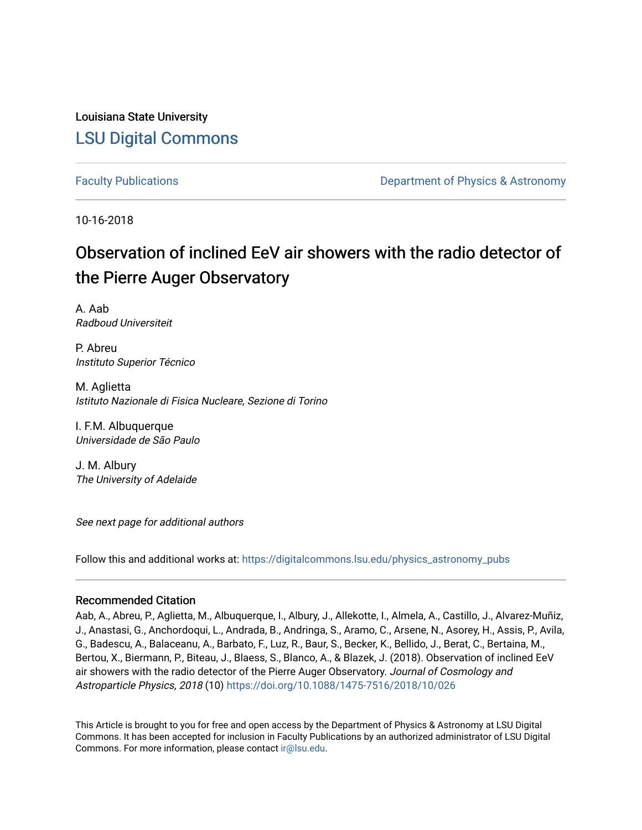Louisiana State University [LSU Digital Commons](https://digitalcommons.lsu.edu/)

[Faculty Publications](https://digitalcommons.lsu.edu/physics_astronomy_pubs) **Example 2** Constant Department of Physics & Astronomy

10-16-2018

# Observation of inclined EeV air showers with the radio detector of the Pierre Auger Observatory

A. Aab Radboud Universiteit

P. Abreu Instituto Superior Técnico

M. Aglietta Istituto Nazionale di Fisica Nucleare, Sezione di Torino

I. F.M. Albuquerque Universidade de São Paulo

J. M. Albury The University of Adelaide

See next page for additional authors

Follow this and additional works at: [https://digitalcommons.lsu.edu/physics\\_astronomy\\_pubs](https://digitalcommons.lsu.edu/physics_astronomy_pubs?utm_source=digitalcommons.lsu.edu%2Fphysics_astronomy_pubs%2F3206&utm_medium=PDF&utm_campaign=PDFCoverPages) 

# Recommended Citation

Aab, A., Abreu, P., Aglietta, M., Albuquerque, I., Albury, J., Allekotte, I., Almela, A., Castillo, J., Alvarez-Muñiz, J., Anastasi, G., Anchordoqui, L., Andrada, B., Andringa, S., Aramo, C., Arsene, N., Asorey, H., Assis, P., Avila, G., Badescu, A., Balaceanu, A., Barbato, F., Luz, R., Baur, S., Becker, K., Bellido, J., Berat, C., Bertaina, M., Bertou, X., Biermann, P., Biteau, J., Blaess, S., Blanco, A., & Blazek, J. (2018). Observation of inclined EeV air showers with the radio detector of the Pierre Auger Observatory. Journal of Cosmology and Astroparticle Physics, 2018 (10)<https://doi.org/10.1088/1475-7516/2018/10/026>

This Article is brought to you for free and open access by the Department of Physics & Astronomy at LSU Digital Commons. It has been accepted for inclusion in Faculty Publications by an authorized administrator of LSU Digital Commons. For more information, please contact [ir@lsu.edu](mailto:ir@lsu.edu).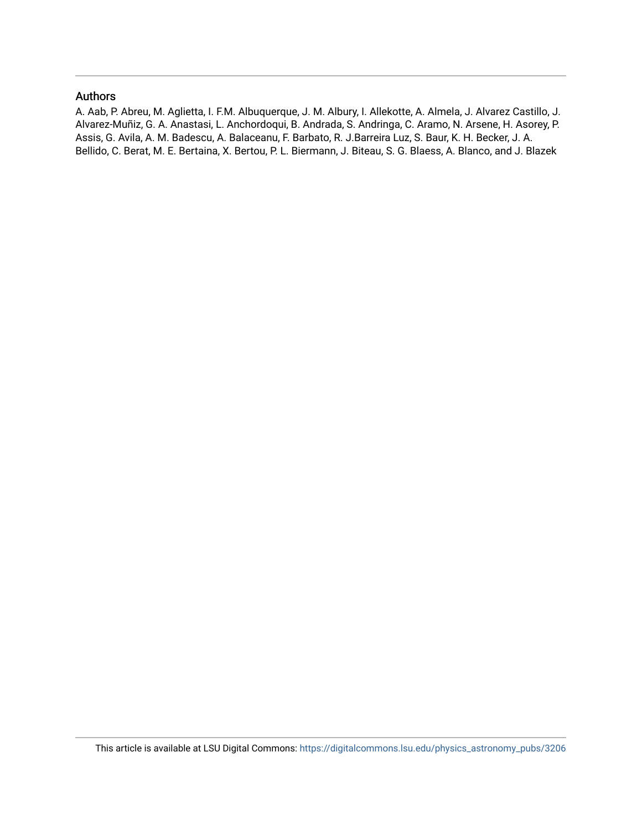# Authors

A. Aab, P. Abreu, M. Aglietta, I. F.M. Albuquerque, J. M. Albury, I. Allekotte, A. Almela, J. Alvarez Castillo, J. Alvarez-Muñiz, G. A. Anastasi, L. Anchordoqui, B. Andrada, S. Andringa, C. Aramo, N. Arsene, H. Asorey, P. Assis, G. Avila, A. M. Badescu, A. Balaceanu, F. Barbato, R. J.Barreira Luz, S. Baur, K. H. Becker, J. A. Bellido, C. Berat, M. E. Bertaina, X. Bertou, P. L. Biermann, J. Biteau, S. G. Blaess, A. Blanco, and J. Blazek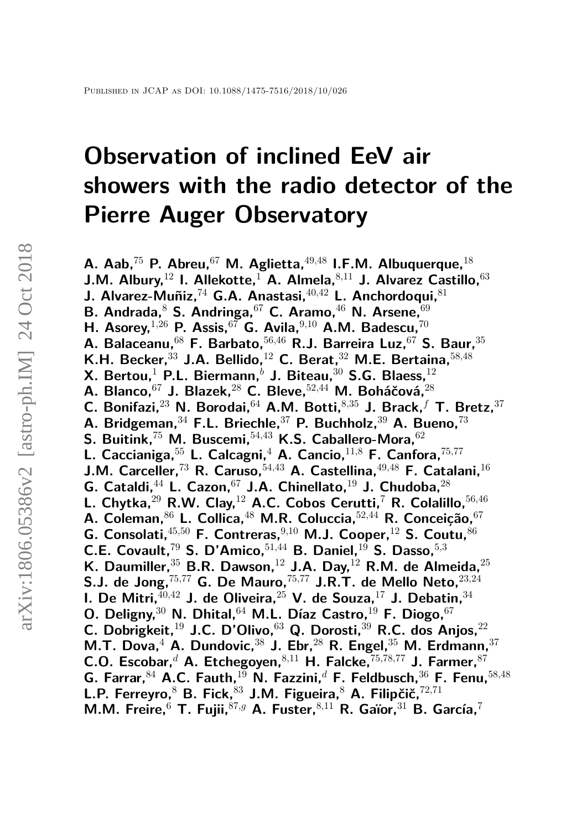# **Observation of inclined EeV air showers with the radio detector of the Pierre Auger Observatory**

**A. Aab,**<sup>75</sup> **P. Abreu,**<sup>67</sup> **M. Aglietta,**<sup>49</sup>*,*<sup>48</sup> **I.F.M. Albuquerque,**<sup>18</sup> **J.M. Albury,**<sup>12</sup> **I. Allekotte,**<sup>1</sup> **A. Almela,**<sup>8</sup>*,*<sup>11</sup> **J. Alvarez Castillo,**<sup>63</sup> **J. Alvarez-Muñiz,**<sup>74</sup> **G.A. Anastasi,**<sup>40</sup>*,*<sup>42</sup> **L. Anchordoqui,**<sup>81</sup> **B. Andrada,**<sup>8</sup> **S. Andringa,**<sup>67</sup> **C. Aramo,**<sup>46</sup> **N. Arsene,**<sup>69</sup> **H. Asorey,**<sup>1</sup>*,*<sup>26</sup> **P. Assis,**<sup>67</sup> **G. Avila,**<sup>9</sup>*,*<sup>10</sup> **A.M. Badescu,**<sup>70</sup> **A. Balaceanu,**<sup>68</sup> **F. Barbato,**<sup>56</sup>*,*<sup>46</sup> **R.J. Barreira Luz,**<sup>67</sup> **S. Baur,**<sup>35</sup> **K.H. Becker,**<sup>33</sup> **J.A. Bellido,**<sup>12</sup> **C. Berat,**<sup>32</sup> **M.E. Bertaina,**<sup>58</sup>*,*<sup>48</sup> **X. Bertou,**<sup>1</sup> **P.L. Biermann,***<sup>b</sup>* **J. Biteau,**<sup>30</sup> **S.G. Blaess,**<sup>12</sup> **A. Blanco,**<sup>67</sup> **J. Blazek,**<sup>28</sup> **C. Bleve,**<sup>52</sup>*,*<sup>44</sup> **M. Boháčová,**<sup>28</sup> **C. Bonifazi,**<sup>23</sup> **N. Borodai,**<sup>64</sup> **A.M. Botti,**<sup>8</sup>*,*<sup>35</sup> **J. Brack,***<sup>f</sup>* **T. Bretz,**<sup>37</sup> **A. Bridgeman,**<sup>34</sup> **F.L. Briechle,**<sup>37</sup> **P. Buchholz,**<sup>39</sup> **A. Bueno,**<sup>73</sup> **S. Buitink,**<sup>75</sup> **M. Buscemi,**<sup>54</sup>*,*<sup>43</sup> **K.S. Caballero-Mora,**<sup>62</sup> **L. Caccianiga,**<sup>55</sup> **L. Calcagni,**<sup>4</sup> **A. Cancio,**<sup>11</sup>*,*<sup>8</sup> **F. Canfora,**<sup>75</sup>*,*<sup>77</sup> **J.M. Carceller,**<sup>73</sup> **R. Caruso,**<sup>54</sup>*,*<sup>43</sup> **A. Castellina,**<sup>49</sup>*,*<sup>48</sup> **F. Catalani,**<sup>16</sup> **G. Cataldi,**<sup>44</sup> **L. Cazon,**<sup>67</sup> **J.A. Chinellato,**<sup>19</sup> **J. Chudoba,**<sup>28</sup> **L. Chytka,**<sup>29</sup> **R.W. Clay,**<sup>12</sup> **A.C. Cobos Cerutti,**<sup>7</sup> **R. Colalillo,**<sup>56</sup>*,*<sup>46</sup> **A. Coleman,**<sup>86</sup> **L. Collica,**<sup>48</sup> **M.R. Coluccia,**<sup>52</sup>*,*<sup>44</sup> **R. Conceição,**<sup>67</sup> **G. Consolati,**<sup>45</sup>*,*<sup>50</sup> **F. Contreras,**<sup>9</sup>*,*<sup>10</sup> **M.J. Cooper,**<sup>12</sup> **S. Coutu,**<sup>86</sup> **C.E. Covault,**<sup>79</sup> **S. D'Amico,**<sup>51</sup>*,*<sup>44</sup> **B. Daniel,**<sup>19</sup> **S. Dasso,**<sup>5</sup>*,*<sup>3</sup> **K. Daumiller,**<sup>35</sup> **B.R. Dawson,**<sup>12</sup> **J.A. Day,**<sup>12</sup> **R.M. de Almeida,**<sup>25</sup> **S.J. de Jong,**<sup>75</sup>*,*<sup>77</sup> **G. De Mauro,**<sup>75</sup>*,*<sup>77</sup> **J.R.T. de Mello Neto,**<sup>23</sup>*,*<sup>24</sup> **I. De Mitri,**<sup>40</sup>*,*<sup>42</sup> **J. de Oliveira,**<sup>25</sup> **V. de Souza,**<sup>17</sup> **J. Debatin,**<sup>34</sup> **O. Deligny,**<sup>30</sup> **N. Dhital,**<sup>64</sup> **M.L. Díaz Castro,**<sup>19</sup> **F. Diogo,**<sup>67</sup> **C. Dobrigkeit,**<sup>19</sup> **J.C. D'Olivo,**<sup>63</sup> **Q. Dorosti,**<sup>39</sup> **R.C. dos Anjos,**<sup>22</sup> **M.T. Dova,**<sup>4</sup> **A. Dundovic,**<sup>38</sup> **J. Ebr,**<sup>28</sup> **R. Engel,**<sup>35</sup> **M. Erdmann,**<sup>37</sup> **C.O. Escobar,***<sup>d</sup>* **A. Etchegoyen,**<sup>8</sup>*,*<sup>11</sup> **H. Falcke,**<sup>75</sup>*,*78*,*<sup>77</sup> **J. Farmer,**<sup>87</sup> **G. Farrar,**<sup>84</sup> **A.C. Fauth,**<sup>19</sup> **N. Fazzini,***<sup>d</sup>* **F. Feldbusch,**<sup>36</sup> **F. Fenu,**<sup>58</sup>*,*<sup>48</sup> **L.P. Ferreyro,**<sup>8</sup> **B. Fick,**<sup>83</sup> **J.M. Figueira,**<sup>8</sup> **A. Filipčič,**<sup>72</sup>*,*<sup>71</sup> **M.M. Freire,**<sup>6</sup> **T. Fujii,**<sup>87</sup>*,g* **A. Fuster,**<sup>8</sup>*,*<sup>11</sup> **R. Gaïor,**<sup>31</sup> **B. García,**<sup>7</sup>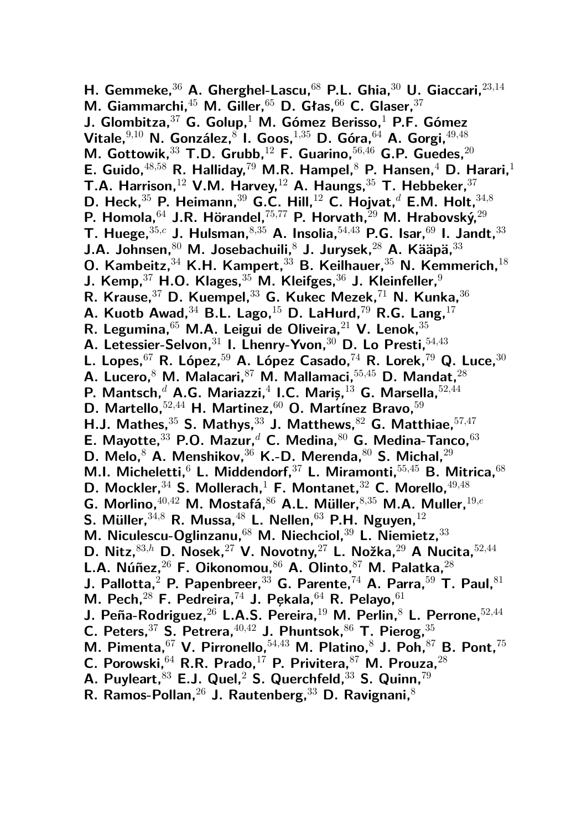**H. Gemmeke,**<sup>36</sup> **A. Gherghel-Lascu,**<sup>68</sup> **P.L. Ghia,**<sup>30</sup> **U. Giaccari,**<sup>23</sup>*,*<sup>14</sup> **M. Giammarchi,**<sup>45</sup> **M. Giller,**<sup>65</sup> **D. Głas,**<sup>66</sup> **C. Glaser,**<sup>37</sup> **J. Glombitza,**<sup>37</sup> **G. Golup,**<sup>1</sup> **M. Gómez Berisso,**<sup>1</sup> **P.F. Gómez Vitale,**<sup>9</sup>*,*<sup>10</sup> **N. González,**<sup>8</sup> **I. Goos,**<sup>1</sup>*,*<sup>35</sup> **D. Góra,**<sup>64</sup> **A. Gorgi,**<sup>49</sup>*,*<sup>48</sup> **M. Gottowik,**<sup>33</sup> **T.D. Grubb,**<sup>12</sup> **F. Guarino,**<sup>56</sup>*,*<sup>46</sup> **G.P. Guedes,**<sup>20</sup> **E. Guido,**<sup>48</sup>*,*<sup>58</sup> **R. Halliday,**<sup>79</sup> **M.R. Hampel,**<sup>8</sup> **P. Hansen,**<sup>4</sup> **D. Harari,**<sup>1</sup> **T.A. Harrison,**<sup>12</sup> **V.M. Harvey,**<sup>12</sup> **A. Haungs,**<sup>35</sup> **T. Hebbeker,**<sup>37</sup> **D. Heck,**<sup>35</sup> **P. Heimann,**<sup>39</sup> **G.C. Hill,**<sup>12</sup> **C. Hojvat,***<sup>d</sup>* **E.M. Holt,**<sup>34</sup>*,*<sup>8</sup> **P. Homola,**<sup>64</sup> **J.R. Hörandel,**<sup>75</sup>*,*<sup>77</sup> **P. Horvath,**<sup>29</sup> **M. Hrabovský,**<sup>29</sup> **T. Huege,**<sup>35</sup>*,c* **J. Hulsman,**<sup>8</sup>*,*<sup>35</sup> **A. Insolia,**<sup>54</sup>*,*<sup>43</sup> **P.G. Isar,**<sup>69</sup> **I. Jandt,**<sup>33</sup> **J.A. Johnsen,**<sup>80</sup> **M. Josebachuili,**<sup>8</sup> **J. Jurysek,**<sup>28</sup> **A. Kääpä,**<sup>33</sup> **O. Kambeitz,**<sup>34</sup> **K.H. Kampert,**<sup>33</sup> **B. Keilhauer,**<sup>35</sup> **N. Kemmerich,**<sup>18</sup> **J. Kemp,**<sup>37</sup> **H.O. Klages,**<sup>35</sup> **M. Kleifges,**<sup>36</sup> **J. Kleinfeller,**<sup>9</sup> **R. Krause,**<sup>37</sup> **D. Kuempel,**<sup>33</sup> **G. Kukec Mezek,**<sup>71</sup> **N. Kunka,**<sup>36</sup> **A. Kuotb Awad,**<sup>34</sup> **B.L. Lago,**<sup>15</sup> **D. LaHurd,**<sup>79</sup> **R.G. Lang,**<sup>17</sup> **R. Legumina,**<sup>65</sup> **M.A. Leigui de Oliveira,**<sup>21</sup> **V. Lenok,**<sup>35</sup> **A. Letessier-Selvon,**<sup>31</sup> **I. Lhenry-Yvon,**<sup>30</sup> **D. Lo Presti,**<sup>54</sup>*,*<sup>43</sup> **L. Lopes,**<sup>67</sup> **R. López,**<sup>59</sup> **A. López Casado,**<sup>74</sup> **R. Lorek,**<sup>79</sup> **Q. Luce,**<sup>30</sup> **A. Lucero,**<sup>8</sup> **M. Malacari,**<sup>87</sup> **M. Mallamaci,**<sup>55</sup>*,*<sup>45</sup> **D. Mandat,**<sup>28</sup> **P. Mantsch,***<sup>d</sup>* **A.G. Mariazzi,**<sup>4</sup> **I.C. Mariş,**<sup>13</sup> **G. Marsella,**<sup>52</sup>*,*<sup>44</sup> **D. Martello,**<sup>52</sup>*,*<sup>44</sup> **H. Martinez,**<sup>60</sup> **O. Martínez Bravo,**<sup>59</sup> **H.J. Mathes,**<sup>35</sup> **S. Mathys,**<sup>33</sup> **J. Matthews,**<sup>82</sup> **G. Matthiae,**<sup>57</sup>*,*<sup>47</sup> **E. Mayotte,**<sup>33</sup> **P.O. Mazur,***<sup>d</sup>* **C. Medina,**<sup>80</sup> **G. Medina-Tanco,**<sup>63</sup> **D. Melo,**<sup>8</sup> **A. Menshikov,**<sup>36</sup> **K.-D. Merenda,**<sup>80</sup> **S. Michal,**<sup>29</sup> **M.I. Micheletti,**<sup>6</sup> **L. Middendorf,**<sup>37</sup> **L. Miramonti,**<sup>55</sup>*,*<sup>45</sup> **B. Mitrica,**<sup>68</sup> **D. Mockler,**<sup>34</sup> **S. Mollerach,**<sup>1</sup> **F. Montanet,**<sup>32</sup> **C. Morello,**<sup>49</sup>*,*<sup>48</sup> **G. Morlino,**<sup>40</sup>*,*<sup>42</sup> **M. Mostafá,**<sup>86</sup> **A.L. Müller,**<sup>8</sup>*,*<sup>35</sup> **M.A. Muller,**<sup>19</sup>*,e* **S. Müller,**<sup>34</sup>*,*<sup>8</sup> **R. Mussa,**<sup>48</sup> **L. Nellen,**<sup>63</sup> **P.H. Nguyen,**<sup>12</sup> **M. Niculescu-Oglinzanu,**<sup>68</sup> **M. Niechciol,**<sup>39</sup> **L. Niemietz,**<sup>33</sup> **D. Nitz,**<sup>83</sup>*,h* **D. Nosek,**<sup>27</sup> **V. Novotny,**<sup>27</sup> **L. Nožka,**<sup>29</sup> **A Nucita,**<sup>52</sup>*,*<sup>44</sup> **L.A. Núñez,**<sup>26</sup> **F. Oikonomou,**<sup>86</sup> **A. Olinto,**<sup>87</sup> **M. Palatka,**<sup>28</sup> **J. Pallotta,**<sup>2</sup> **P. Papenbreer,**<sup>33</sup> **G. Parente,**<sup>74</sup> **A. Parra,**<sup>59</sup> **T. Paul,**<sup>81</sup> **M. Pech,**<sup>28</sup> **F. Pedreira,**<sup>74</sup> **J. P¸ekala,**<sup>64</sup> **R. Pelayo,**<sup>61</sup> **J. Peña-Rodriguez,**<sup>26</sup> **L.A.S. Pereira,**<sup>19</sup> **M. Perlin,**<sup>8</sup> **L. Perrone,**<sup>52</sup>*,*<sup>44</sup> **C. Peters,**<sup>37</sup> **S. Petrera,**<sup>40</sup>*,*<sup>42</sup> **J. Phuntsok,**<sup>86</sup> **T. Pierog,**<sup>35</sup> **M. Pimenta,**<sup>67</sup> **V. Pirronello,**<sup>54</sup>*,*<sup>43</sup> **M. Platino,**<sup>8</sup> **J. Poh,**<sup>87</sup> **B. Pont,**<sup>75</sup> **C. Porowski,**<sup>64</sup> **R.R. Prado,**<sup>17</sup> **P. Privitera,**<sup>87</sup> **M. Prouza,**<sup>28</sup> **A. Puyleart,**<sup>83</sup> **E.J. Quel,**<sup>2</sup> **S. Querchfeld,**<sup>33</sup> **S. Quinn,**<sup>79</sup> **R. Ramos-Pollan,**<sup>26</sup> **J. Rautenberg,**<sup>33</sup> **D. Ravignani,**<sup>8</sup>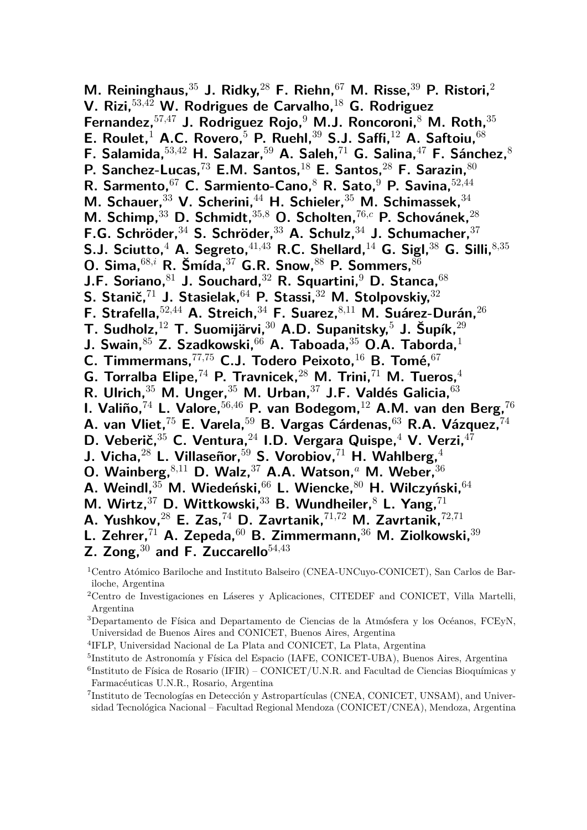**M. Reininghaus,**<sup>35</sup> **J. Ridky,**<sup>28</sup> **F. Riehn,**<sup>67</sup> **M. Risse,**<sup>39</sup> **P. Ristori,**<sup>2</sup> **V. Rizi,**<sup>53</sup>*,*<sup>42</sup> **W. Rodrigues de Carvalho,**<sup>18</sup> **G. Rodriguez Fernandez,**<sup>57</sup>*,*<sup>47</sup> **J. Rodriguez Rojo,**<sup>9</sup> **M.J. Roncoroni,**<sup>8</sup> **M. Roth,**<sup>35</sup> **E. Roulet,**<sup>1</sup> **A.C. Rovero,**<sup>5</sup> **P. Ruehl,**<sup>39</sup> **S.J. Saffi,**<sup>12</sup> **A. Saftoiu,**<sup>68</sup> **F. Salamida,**<sup>53</sup>*,*<sup>42</sup> **H. Salazar,**<sup>59</sup> **A. Saleh,**<sup>71</sup> **G. Salina,**<sup>47</sup> **F. Sánchez,**<sup>8</sup> **P. Sanchez-Lucas,**<sup>73</sup> **E.M. Santos,**<sup>18</sup> **E. Santos,**<sup>28</sup> **F. Sarazin,**<sup>80</sup> **R. Sarmento,**<sup>67</sup> **C. Sarmiento-Cano,**<sup>8</sup> **R. Sato,**<sup>9</sup> **P. Savina,**<sup>52</sup>*,*<sup>44</sup> **M. Schauer,**<sup>33</sup> **V. Scherini,**<sup>44</sup> **H. Schieler,**<sup>35</sup> **M. Schimassek,**<sup>34</sup> **M. Schimp,**<sup>33</sup> **D. Schmidt,**<sup>35</sup>*,*<sup>8</sup> **O. Scholten,**<sup>76</sup>*,c* **P. Schovánek,**<sup>28</sup> **F.G. Schröder,**<sup>34</sup> **S. Schröder,**<sup>33</sup> **A. Schulz,**<sup>34</sup> **J. Schumacher,**<sup>37</sup> **S.J. Sciutto,**<sup>4</sup> **A. Segreto,**<sup>41</sup>*,*<sup>43</sup> **R.C. Shellard,**<sup>14</sup> **G. Sigl,**<sup>38</sup> **G. Silli,**<sup>8</sup>*,*<sup>35</sup> **O. Sima,**<sup>68</sup>*,i* **R. Šmída,**<sup>37</sup> **G.R. Snow,**<sup>88</sup> **P. Sommers,**<sup>86</sup> **J.F. Soriano,**<sup>81</sup> **J. Souchard,**<sup>32</sup> **R. Squartini,**<sup>9</sup> **D. Stanca,**<sup>68</sup> **S. Stanič,**<sup>71</sup> **J. Stasielak,**<sup>64</sup> **P. Stassi,**<sup>32</sup> **M. Stolpovskiy,**<sup>32</sup> **F. Strafella,**<sup>52</sup>*,*<sup>44</sup> **A. Streich,**<sup>34</sup> **F. Suarez,**<sup>8</sup>*,*<sup>11</sup> **M. Suárez-Durán,**<sup>26</sup> **T. Sudholz,**<sup>12</sup> **T. Suomijärvi,**<sup>30</sup> **A.D. Supanitsky,**<sup>5</sup> **J. Šupík,**<sup>29</sup> **J. Swain,**<sup>85</sup> **Z. Szadkowski,**<sup>66</sup> **A. Taboada,**<sup>35</sup> **O.A. Taborda,**<sup>1</sup> **C. Timmermans,**<sup>77</sup>*,*<sup>75</sup> **C.J. Todero Peixoto,**<sup>16</sup> **B. Tomé,**<sup>67</sup> **G. Torralba Elipe,**<sup>74</sup> **P. Travnicek,**<sup>28</sup> **M. Trini,**<sup>71</sup> **M. Tueros,**<sup>4</sup> **R. Ulrich,**<sup>35</sup> **M. Unger,**<sup>35</sup> **M. Urban,**<sup>37</sup> **J.F. Valdés Galicia,**<sup>63</sup> **I. Valiño,**<sup>74</sup> **L. Valore,**<sup>56</sup>*,*<sup>46</sup> **P. van Bodegom,**<sup>12</sup> **A.M. van den Berg,**<sup>76</sup> **A. van Vliet,**<sup>75</sup> **E. Varela,**<sup>59</sup> **B. Vargas Cárdenas,**<sup>63</sup> **R.A. Vázquez,**<sup>74</sup> **D. Veberič,**<sup>35</sup> **C. Ventura,**<sup>24</sup> **I.D. Vergara Quispe,**<sup>4</sup> **V. Verzi,**<sup>47</sup> **J. Vicha,**<sup>28</sup> **L. Villaseñor,**<sup>59</sup> **S. Vorobiov,**<sup>71</sup> **H. Wahlberg,**<sup>4</sup> **O. Wainberg,**<sup>8</sup>*,*<sup>11</sup> **D. Walz,**<sup>37</sup> **A.A. Watson,***<sup>a</sup>* **M. Weber,**<sup>36</sup> **A. Weindl,**<sup>35</sup> **M. Wiedeński,**<sup>66</sup> **L. Wiencke,**<sup>80</sup> **H. Wilczyński,**<sup>64</sup> **M. Wirtz,**<sup>37</sup> **D. Wittkowski,**<sup>33</sup> **B. Wundheiler,**<sup>8</sup> **L. Yang,**<sup>71</sup> **A. Yushkov,**<sup>28</sup> **E. Zas,**<sup>74</sup> **D. Zavrtanik,**<sup>71</sup>*,*<sup>72</sup> **M. Zavrtanik,**<sup>72</sup>*,*<sup>71</sup> **L. Zehrer,**<sup>71</sup> **A. Zepeda,**<sup>60</sup> **B. Zimmermann,**<sup>36</sup> **M. Ziolkowski,**<sup>39</sup> **Z. Zong,**<sup>30</sup> **and F. Zuccarello**<sup>54</sup>*,*<sup>43</sup>

- <sup>4</sup>IFLP, Universidad Nacional de La Plata and CONICET, La Plata, Argentina
- 5 Instituto de Astronomía y Física del Espacio (IAFE, CONICET-UBA), Buenos Aires, Argentina

<sup>1</sup>Centro Atómico Bariloche and Instituto Balseiro (CNEA-UNCuyo-CONICET), San Carlos de Bariloche, Argentina

<sup>2</sup>Centro de Investigaciones en Láseres y Aplicaciones, CITEDEF and CONICET, Villa Martelli, Argentina

<sup>3</sup>Departamento de Física and Departamento de Ciencias de la Atmósfera y los Océanos, FCEyN, Universidad de Buenos Aires and CONICET, Buenos Aires, Argentina

 ${}^{6}$ Instituto de Física de Rosario (IFIR) – CONICET/U.N.R. and Facultad de Ciencias Bioquímicas y Farmacéuticas U.N.R., Rosario, Argentina

<sup>7</sup> Instituto de Tecnologías en Detección y Astropartículas (CNEA, CONICET, UNSAM), and Universidad Tecnológica Nacional – Facultad Regional Mendoza (CONICET/CNEA), Mendoza, Argentina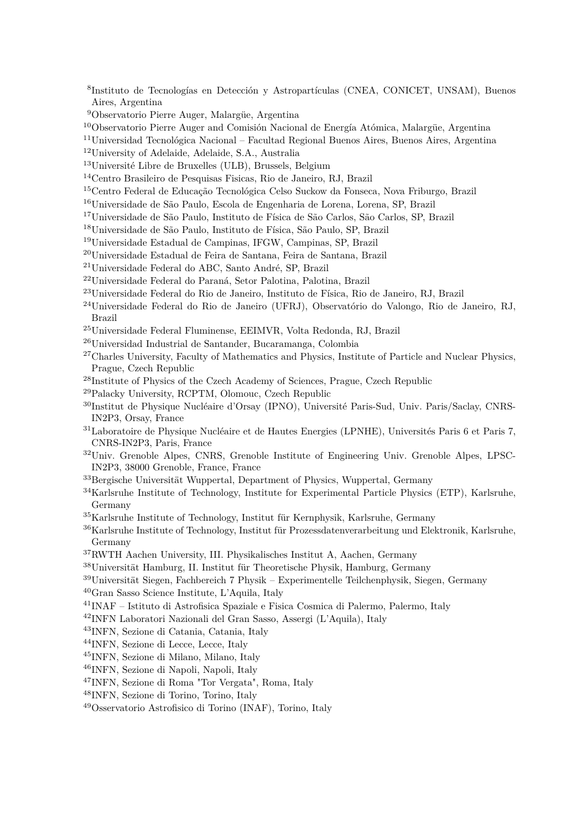- Instituto de Tecnologías en Detección y Astropartículas (CNEA, CONICET, UNSAM), Buenos Aires, Argentina
- Observatorio Pierre Auger, Malargüe, Argentina
- Observatorio Pierre Auger and Comisión Nacional de Energía Atómica, Malargüe, Argentina
- Universidad Tecnológica Nacional Facultad Regional Buenos Aires, Buenos Aires, Argentina
- University of Adelaide, Adelaide, S.A., Australia
- Université Libre de Bruxelles (ULB), Brussels, Belgium
- Centro Brasileiro de Pesquisas Fisicas, Rio de Janeiro, RJ, Brazil
- Centro Federal de Educação Tecnológica Celso Suckow da Fonseca, Nova Friburgo, Brazil
- Universidade de São Paulo, Escola de Engenharia de Lorena, Lorena, SP, Brazil
- Universidade de São Paulo, Instituto de Física de São Carlos, São Carlos, SP, Brazil
- Universidade de São Paulo, Instituto de Física, São Paulo, SP, Brazil
- Universidade Estadual de Campinas, IFGW, Campinas, SP, Brazil
- Universidade Estadual de Feira de Santana, Feira de Santana, Brazil
- Universidade Federal do ABC, Santo André, SP, Brazil
- Universidade Federal do Paraná, Setor Palotina, Palotina, Brazil
- Universidade Federal do Rio de Janeiro, Instituto de Física, Rio de Janeiro, RJ, Brazil
- Universidade Federal do Rio de Janeiro (UFRJ), Observatório do Valongo, Rio de Janeiro, RJ, Brazil
- Universidade Federal Fluminense, EEIMVR, Volta Redonda, RJ, Brazil
- Universidad Industrial de Santander, Bucaramanga, Colombia
- <sup>27</sup>Charles University, Faculty of Mathematics and Physics, Institute of Particle and Nuclear Physics, Prague, Czech Republic
- Institute of Physics of the Czech Academy of Sciences, Prague, Czech Republic
- Palacky University, RCPTM, Olomouc, Czech Republic
- Institut de Physique Nucléaire d'Orsay (IPNO), Université Paris-Sud, Univ. Paris/Saclay, CNRS-IN2P3, Orsay, France
- Laboratoire de Physique Nucléaire et de Hautes Energies (LPNHE), Universités Paris 6 et Paris 7, CNRS-IN2P3, Paris, France
- Univ. Grenoble Alpes, CNRS, Grenoble Institute of Engineering Univ. Grenoble Alpes, LPSC-IN2P3, 38000 Grenoble, France, France
- Bergische Universität Wuppertal, Department of Physics, Wuppertal, Germany
- Karlsruhe Institute of Technology, Institute for Experimental Particle Physics (ETP), Karlsruhe, Germany
- Karlsruhe Institute of Technology, Institut für Kernphysik, Karlsruhe, Germany
- Karlsruhe Institute of Technology, Institut für Prozessdatenverarbeitung und Elektronik, Karlsruhe, Germany
- RWTH Aachen University, III. Physikalisches Institut A, Aachen, Germany
- Universität Hamburg, II. Institut für Theoretische Physik, Hamburg, Germany
- Universität Siegen, Fachbereich 7 Physik Experimentelle Teilchenphysik, Siegen, Germany
- Gran Sasso Science Institute, L'Aquila, Italy
- INAF Istituto di Astrofisica Spaziale e Fisica Cosmica di Palermo, Palermo, Italy
- INFN Laboratori Nazionali del Gran Sasso, Assergi (L'Aquila), Italy
- INFN, Sezione di Catania, Catania, Italy
- INFN, Sezione di Lecce, Lecce, Italy
- INFN, Sezione di Milano, Milano, Italy
- INFN, Sezione di Napoli, Napoli, Italy
- INFN, Sezione di Roma "Tor Vergata", Roma, Italy
- INFN, Sezione di Torino, Torino, Italy
- Osservatorio Astrofisico di Torino (INAF), Torino, Italy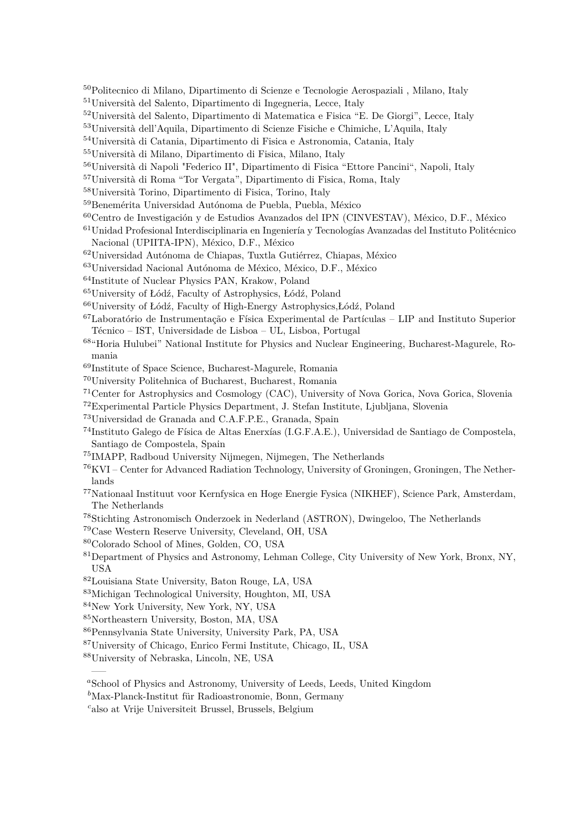- Politecnico di Milano, Dipartimento di Scienze e Tecnologie Aerospaziali , Milano, Italy
- Università del Salento, Dipartimento di Ingegneria, Lecce, Italy
- Università del Salento, Dipartimento di Matematica e Fisica "E. De Giorgi", Lecce, Italy

Università dell'Aquila, Dipartimento di Scienze Fisiche e Chimiche, L'Aquila, Italy

- Università di Catania, Dipartimento di Fisica e Astronomia, Catania, Italy
- Università di Milano, Dipartimento di Fisica, Milano, Italy
- Università di Napoli "Federico II", Dipartimento di Fisica "Ettore Pancini", Napoli, Italy
- Università di Roma "Tor Vergata", Dipartimento di Fisica, Roma, Italy
- Università Torino, Dipartimento di Fisica, Torino, Italy
- Benemérita Universidad Autónoma de Puebla, Puebla, México
- Centro de Investigación y de Estudios Avanzados del IPN (CINVESTAV), México, D.F., México
- Unidad Profesional Interdisciplinaria en Ingeniería y Tecnologías Avanzadas del Instituto Politécnico Nacional (UPIITA-IPN), México, D.F., México
- Universidad Autónoma de Chiapas, Tuxtla Gutiérrez, Chiapas, México
- Universidad Nacional Autónoma de México, México, D.F., México
- Institute of Nuclear Physics PAN, Krakow, Poland
- University of Łódź, Faculty of Astrophysics, Łódź, Poland
- University of Łódź, Faculty of High-Energy Astrophysics,Łódź, Poland
- Laboratório de Instrumentação e Física Experimental de Partículas LIP and Instituto Superior Técnico – IST, Universidade de Lisboa – UL, Lisboa, Portugal
- "Horia Hulubei" National Institute for Physics and Nuclear Engineering, Bucharest-Magurele, Romania
- Institute of Space Science, Bucharest-Magurele, Romania
- University Politehnica of Bucharest, Bucharest, Romania
- Center for Astrophysics and Cosmology (CAC), University of Nova Gorica, Nova Gorica, Slovenia
- Experimental Particle Physics Department, J. Stefan Institute, Ljubljana, Slovenia
- Universidad de Granada and C.A.F.P.E., Granada, Spain
- Instituto Galego de Física de Altas Enerxías (I.G.F.A.E.), Universidad de Santiago de Compostela, Santiago de Compostela, Spain
- IMAPP, Radboud University Nijmegen, Nijmegen, The Netherlands
- KVI Center for Advanced Radiation Technology, University of Groningen, Groningen, The Netherlands
- Nationaal Instituut voor Kernfysica en Hoge Energie Fysica (NIKHEF), Science Park, Amsterdam, The Netherlands
- Stichting Astronomisch Onderzoek in Nederland (ASTRON), Dwingeloo, The Netherlands
- Case Western Reserve University, Cleveland, OH, USA
- Colorado School of Mines, Golden, CO, USA
- Department of Physics and Astronomy, Lehman College, City University of New York, Bronx, NY, USA
- Louisiana State University, Baton Rouge, LA, USA
- Michigan Technological University, Houghton, MI, USA
- New York University, New York, NY, USA
- Northeastern University, Boston, MA, USA
- Pennsylvania State University, University Park, PA, USA
- University of Chicago, Enrico Fermi Institute, Chicago, IL, USA

University of Nebraska, Lincoln, NE, USA

—–

*<sup>a</sup>*School of Physics and Astronomy, University of Leeds, Leeds, United Kingdom

*<sup>b</sup>*Max-Planck-Institut für Radioastronomie, Bonn, Germany

*<sup>c</sup>*also at Vrije Universiteit Brussel, Brussels, Belgium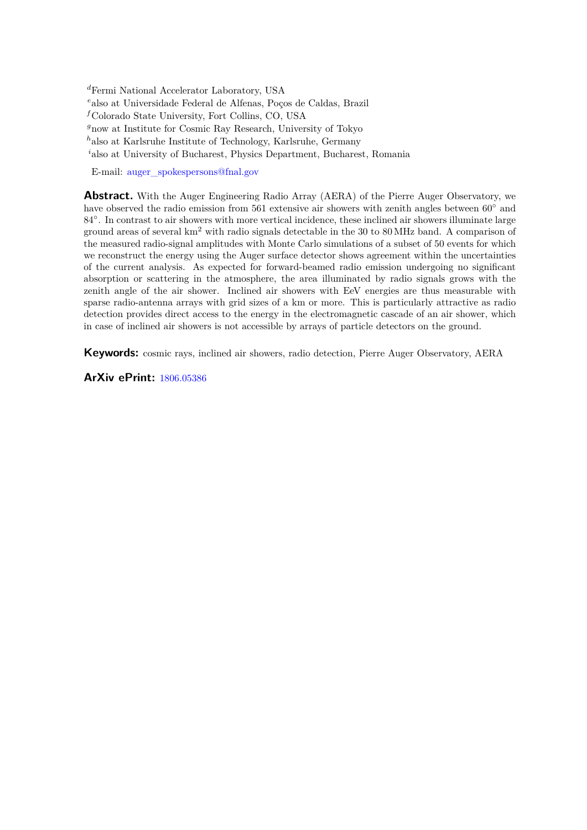*<sup>d</sup>*Fermi National Accelerator Laboratory, USA *<sup>e</sup>*also at Universidade Federal de Alfenas, Poços de Caldas, Brazil *<sup>f</sup>*Colorado State University, Fort Collins, CO, USA *<sup>g</sup>*now at Institute for Cosmic Ray Research, University of Tokyo *<sup>h</sup>*also at Karlsruhe Institute of Technology, Karlsruhe, Germany *<sup>i</sup>*also at University of Bucharest, Physics Department, Bucharest, Romania

E-mail: [auger\\_spokespersons@fnal.gov](mailto:auger_spokespersons@fnal.gov)

**Abstract.** With the Auger Engineering Radio Array (AERA) of the Pierre Auger Observatory, we have observed the radio emission from 561 extensive air showers with zenith angles between 60◦ and 84°. In contrast to air showers with more vertical incidence, these inclined air showers illuminate large ground areas of several km<sup>2</sup> with radio signals detectable in the 30 to 80 MHz band. A comparison of the measured radio-signal amplitudes with Monte Carlo simulations of a subset of 50 events for which we reconstruct the energy using the Auger surface detector shows agreement within the uncertainties of the current analysis. As expected for forward-beamed radio emission undergoing no significant absorption or scattering in the atmosphere, the area illuminated by radio signals grows with the zenith angle of the air shower. Inclined air showers with EeV energies are thus measurable with sparse radio-antenna arrays with grid sizes of a km or more. This is particularly attractive as radio detection provides direct access to the energy in the electromagnetic cascade of an air shower, which in case of inclined air showers is not accessible by arrays of particle detectors on the ground.

**Keywords:** cosmic rays, inclined air showers, radio detection, Pierre Auger Observatory, AERA

**ArXiv ePrint:** [1806.05386](http://arxiv.org/abs/1806.05386)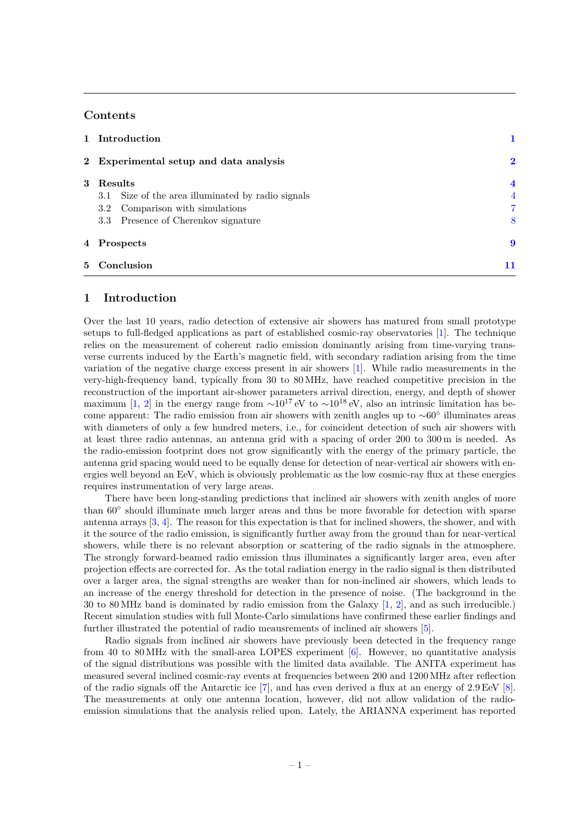# **Contents**

|                | 1 Introduction                                       |                         |
|----------------|------------------------------------------------------|-------------------------|
|                | 2 Experimental setup and data analysis               | $\overline{\mathbf{2}}$ |
| $\mathbf{3}$   | Results                                              | 4                       |
|                | Size of the area illuminated by radio signals<br>3.1 | 4                       |
|                | Comparison with simulations<br>$3.2\,$               | 7                       |
|                | 3.3 Presence of Cherenkov signature                  | 8                       |
|                | 4 Prospects                                          | 9                       |
| 5 <sup>1</sup> | Conclusion                                           | 11                      |

# <span id="page-8-0"></span>**1 Introduction**

Over the last 10 years, radio detection of extensive air showers has matured from small prototype setups to full-fledged applications as part of established cosmic-ray observatories [\[1\]](#page-19-0). The technique relies on the measurement of coherent radio emission dominantly arising from time-varying transverse currents induced by the Earth's magnetic field, with secondary radiation arising from the time variation of the negative charge excess present in air showers [\[1\]](#page-19-0). While radio measurements in the very-high-frequency band, typically from 30 to 80 MHz, have reached competitive precision in the reconstruction of the important air-shower parameters arrival direction, energy, and depth of shower maximum [\[1,](#page-19-0) [2\]](#page-19-1) in the energy range from  $\sim 10^{17}$  eV to  $\sim 10^{18}$  eV, also an intrinsic limitation has become apparent: The radio emission from air showers with zenith angles up to ∼60◦ illuminates areas with diameters of only a few hundred meters, i.e., for coincident detection of such air showers with at least three radio antennas, an antenna grid with a spacing of order 200 to 300 m is needed. As the radio-emission footprint does not grow significantly with the energy of the primary particle, the antenna grid spacing would need to be equally dense for detection of near-vertical air showers with energies well beyond an EeV, which is obviously problematic as the low cosmic-ray flux at these energies requires instrumentation of very large areas.

There have been long-standing predictions that inclined air showers with zenith angles of more than 60◦ should illuminate much larger areas and thus be more favorable for detection with sparse antenna arrays [\[3,](#page-19-2) [4\]](#page-20-0). The reason for this expectation is that for inclined showers, the shower, and with it the source of the radio emission, is significantly further away from the ground than for near-vertical showers, while there is no relevant absorption or scattering of the radio signals in the atmosphere. The strongly forward-beamed radio emission thus illuminates a significantly larger area, even after projection effects are corrected for. As the total radiation energy in the radio signal is then distributed over a larger area, the signal strengths are weaker than for non-inclined air showers, which leads to an increase of the energy threshold for detection in the presence of noise. (The background in the 30 to 80 MHz band is dominated by radio emission from the Galaxy [\[1,](#page-19-0) [2\]](#page-19-1), and as such irreducible.) Recent simulation studies with full Monte-Carlo simulations have confirmed these earlier findings and further illustrated the potential of radio meausrements of inclined air showers [\[5\]](#page-20-1).

Radio signals from inclined air showers have previously been detected in the frequency range from 40 to 80 MHz with the small-area LOPES experiment [\[6\]](#page-20-2). However, no quantitative analysis of the signal distributions was possible with the limited data available. The ANITA experiment has measured several inclined cosmic-ray events at frequencies between 200 and 1200 MHz after reflection of the radio signals off the Antarctic ice [\[7\]](#page-20-3), and has even derived a flux at an energy of 2.9 EeV [\[8\]](#page-20-4). The measurements at only one antenna location, however, did not allow validation of the radioemission simulations that the analysis relied upon. Lately, the ARIANNA experiment has reported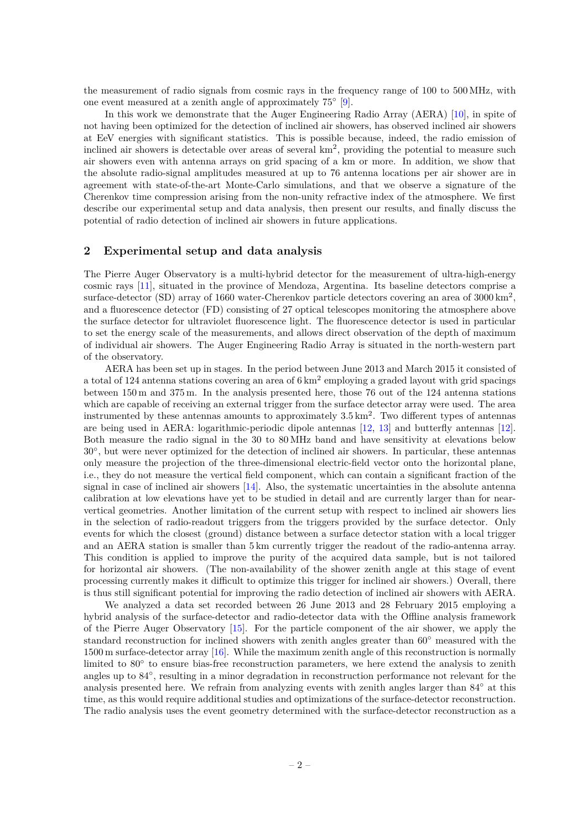the measurement of radio signals from cosmic rays in the frequency range of 100 to 500 MHz, with one event measured at a zenith angle of approximately 75◦ [\[9\]](#page-20-5).

In this work we demonstrate that the Auger Engineering Radio Array (AERA) [\[10\]](#page-20-6), in spite of not having been optimized for the detection of inclined air showers, has observed inclined air showers at EeV energies with significant statistics. This is possible because, indeed, the radio emission of inclined air showers is detectable over areas of several  $km^2$ , providing the potential to measure such air showers even with antenna arrays on grid spacing of a km or more. In addition, we show that the absolute radio-signal amplitudes measured at up to 76 antenna locations per air shower are in agreement with state-of-the-art Monte-Carlo simulations, and that we observe a signature of the Cherenkov time compression arising from the non-unity refractive index of the atmosphere. We first describe our experimental setup and data analysis, then present our results, and finally discuss the potential of radio detection of inclined air showers in future applications.

#### <span id="page-9-0"></span>**2 Experimental setup and data analysis**

The Pierre Auger Observatory is a multi-hybrid detector for the measurement of ultra-high-energy cosmic rays [\[11\]](#page-20-7), situated in the province of Mendoza, Argentina. Its baseline detectors comprise a surface-detector (SD) array of 1660 water-Cherenkov particle detectors covering an area of  $3000 \text{ km}^2$ , and a fluorescence detector (FD) consisting of 27 optical telescopes monitoring the atmosphere above the surface detector for ultraviolet fluorescence light. The fluorescence detector is used in particular to set the energy scale of the measurements, and allows direct observation of the depth of maximum of individual air showers. The Auger Engineering Radio Array is situated in the north-western part of the observatory.

AERA has been set up in stages. In the period between June 2013 and March 2015 it consisted of a total of 124 antenna stations covering an area of  $6 \text{ km}^2$  employing a graded layout with grid spacings between 150 m and 375 m. In the analysis presented here, those 76 out of the 124 antenna stations which are capable of receiving an external trigger from the surface detector array were used. The area instrumented by these antennas amounts to approximately  $3.5 \text{ km}^2$ . Two different types of antennas are being used in AERA: logarithmic-periodic dipole antennas [\[12,](#page-20-8) [13\]](#page-20-9) and butterfly antennas [\[12\]](#page-20-8). Both measure the radio signal in the 30 to 80 MHz band and have sensitivity at elevations below 30◦ , but were never optimized for the detection of inclined air showers. In particular, these antennas only measure the projection of the three-dimensional electric-field vector onto the horizontal plane, i.e., they do not measure the vertical field component, which can contain a significant fraction of the signal in case of inclined air showers [\[14\]](#page-20-10). Also, the systematic uncertainties in the absolute antenna calibration at low elevations have yet to be studied in detail and are currently larger than for nearvertical geometries. Another limitation of the current setup with respect to inclined air showers lies in the selection of radio-readout triggers from the triggers provided by the surface detector. Only events for which the closest (ground) distance between a surface detector station with a local trigger and an AERA station is smaller than 5 km currently trigger the readout of the radio-antenna array. This condition is applied to improve the purity of the acquired data sample, but is not tailored for horizontal air showers. (The non-availability of the shower zenith angle at this stage of event processing currently makes it difficult to optimize this trigger for inclined air showers.) Overall, there is thus still significant potential for improving the radio detection of inclined air showers with AERA.

We analyzed a data set recorded between 26 June 2013 and 28 February 2015 employing a hybrid analysis of the surface-detector and radio-detector data with the Offline analysis framework of the Pierre Auger Observatory [\[15\]](#page-20-11). For the particle component of the air shower, we apply the standard reconstruction for inclined showers with zenith angles greater than  $60°$  measured with the 1500 m surface-detector array [\[16\]](#page-20-12). While the maximum zenith angle of this reconstruction is normally limited to 80° to ensure bias-free reconstruction parameters, we here extend the analysis to zenith angles up to 84◦ , resulting in a minor degradation in reconstruction performance not relevant for the analysis presented here. We refrain from analyzing events with zenith angles larger than 84◦ at this time, as this would require additional studies and optimizations of the surface-detector reconstruction. The radio analysis uses the event geometry determined with the surface-detector reconstruction as a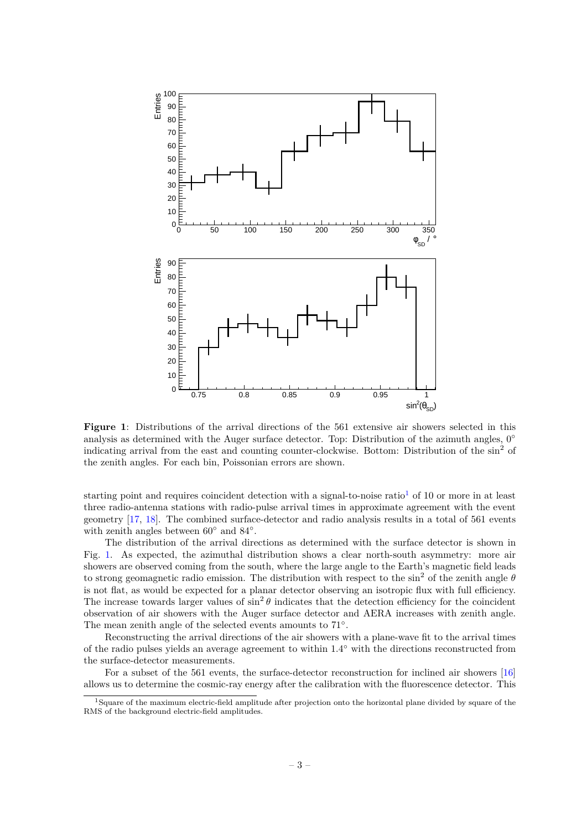<span id="page-10-1"></span>

**Figure 1**: Distributions of the arrival directions of the 561 extensive air showers selected in this analysis as determined with the Auger surface detector. Top: Distribution of the azimuth angles,  $0^{\circ}$ indicating arrival from the east and counting counter-clockwise. Bottom: Distribution of the sin<sup>2</sup> of the zenith angles. For each bin, Poissonian errors are shown.

starting point and requires coincident detection with a signal-to-noise ratio<sup>[1](#page-10-0)</sup> of 10 or more in at least three radio-antenna stations with radio-pulse arrival times in approximate agreement with the event geometry [\[17,](#page-20-13) [18\]](#page-20-14). The combined surface-detector and radio analysis results in a total of 561 events with zenith angles between  $60°$  and  $84°$ .

The distribution of the arrival directions as determined with the surface detector is shown in Fig. [1.](#page-10-1) As expected, the azimuthal distribution shows a clear north-south asymmetry: more air showers are observed coming from the south, where the large angle to the Earth's magnetic field leads to strong geomagnetic radio emission. The distribution with respect to the sin<sup>2</sup> of the zenith angle  $\theta$ is not flat, as would be expected for a planar detector observing an isotropic flux with full efficiency. The increase towards larger values of  $\sin^2 \theta$  indicates that the detection efficiency for the coincident observation of air showers with the Auger surface detector and AERA increases with zenith angle. The mean zenith angle of the selected events amounts to  $71°$ .

Reconstructing the arrival directions of the air showers with a plane-wave fit to the arrival times of the radio pulses yields an average agreement to within 1.4◦ with the directions reconstructed from the surface-detector measurements.

For a subset of the 561 events, the surface-detector reconstruction for inclined air showers [\[16\]](#page-20-12) allows us to determine the cosmic-ray energy after the calibration with the fluorescence detector. This

<span id="page-10-0"></span><sup>&</sup>lt;sup>1</sup>Square of the maximum electric-field amplitude after projection onto the horizontal plane divided by square of the RMS of the background electric-field amplitudes.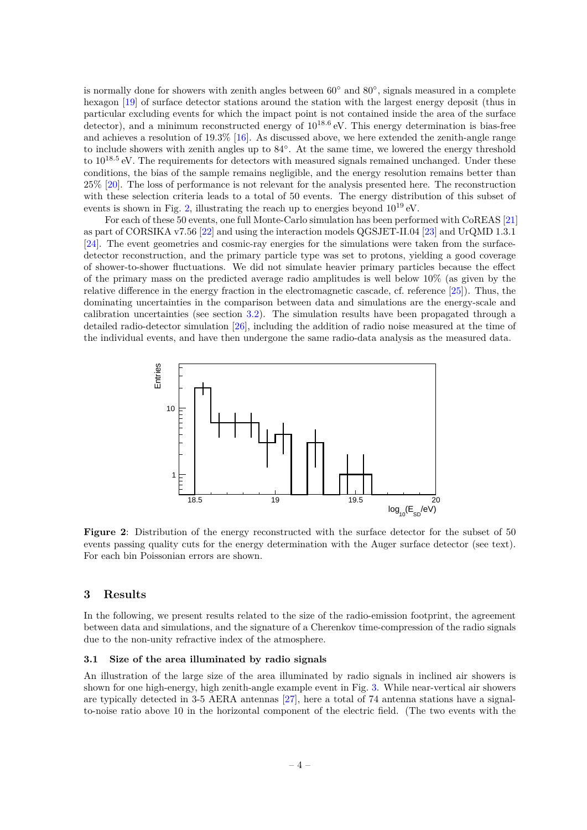is normally done for showers with zenith angles between 60° and 80°, signals measured in a complete hexagon [\[19\]](#page-20-15) of surface detector stations around the station with the largest energy deposit (thus in particular excluding events for which the impact point is not contained inside the area of the surface detector), and a minimum reconstructed energy of  $10^{18.6}$  eV. This energy determination is bias-free and achieves a resolution of 19.3% [\[16\]](#page-20-12). As discussed above, we here extended the zenith-angle range to include showers with zenith angles up to 84◦ . At the same time, we lowered the energy threshold to  $10^{18.5}$  eV. The requirements for detectors with measured signals remained unchanged. Under these conditions, the bias of the sample remains negligible, and the energy resolution remains better than 25% [\[20\]](#page-20-16). The loss of performance is not relevant for the analysis presented here. The reconstruction with these selection criteria leads to a total of 50 events. The energy distribution of this subset of events is shown in Fig. [2,](#page-11-2) illustrating the reach up to energies beyond  $10^{19}$  eV.

For each of these 50 events, one full Monte-Carlo simulation has been performed with CoREAS [\[21\]](#page-20-17) as part of CORSIKA v7.56 [\[22\]](#page-20-18) and using the interaction models QGSJET-II.04 [\[23\]](#page-20-19) and UrQMD 1.3.1 [\[24\]](#page-20-20). The event geometries and cosmic-ray energies for the simulations were taken from the surfacedetector reconstruction, and the primary particle type was set to protons, yielding a good coverage of shower-to-shower fluctuations. We did not simulate heavier primary particles because the effect of the primary mass on the predicted average radio amplitudes is well below  $10\%$  (as given by the relative difference in the energy fraction in the electromagnetic cascade, cf. reference [\[25\]](#page-20-21)). Thus, the dominating uncertainties in the comparison between data and simulations are the energy-scale and calibration uncertainties (see section [3.2\)](#page-14-0). The simulation results have been propagated through a detailed radio-detector simulation [\[26\]](#page-20-22), including the addition of radio noise measured at the time of the individual events, and have then undergone the same radio-data analysis as the measured data.

<span id="page-11-2"></span>

**Figure 2**: Distribution of the energy reconstructed with the surface detector for the subset of 50 events passing quality cuts for the energy determination with the Auger surface detector (see text). For each bin Poissonian errors are shown.

#### <span id="page-11-0"></span>**3 Results**

In the following, we present results related to the size of the radio-emission footprint, the agreement between data and simulations, and the signature of a Cherenkov time-compression of the radio signals due to the non-unity refractive index of the atmosphere.

#### <span id="page-11-1"></span>**3.1 Size of the area illuminated by radio signals**

An illustration of the large size of the area illuminated by radio signals in inclined air showers is shown for one high-energy, high zenith-angle example event in Fig. [3.](#page-12-0) While near-vertical air showers are typically detected in 3-5 AERA antennas [\[27\]](#page-20-23), here a total of 74 antenna stations have a signalto-noise ratio above 10 in the horizontal component of the electric field. (The two events with the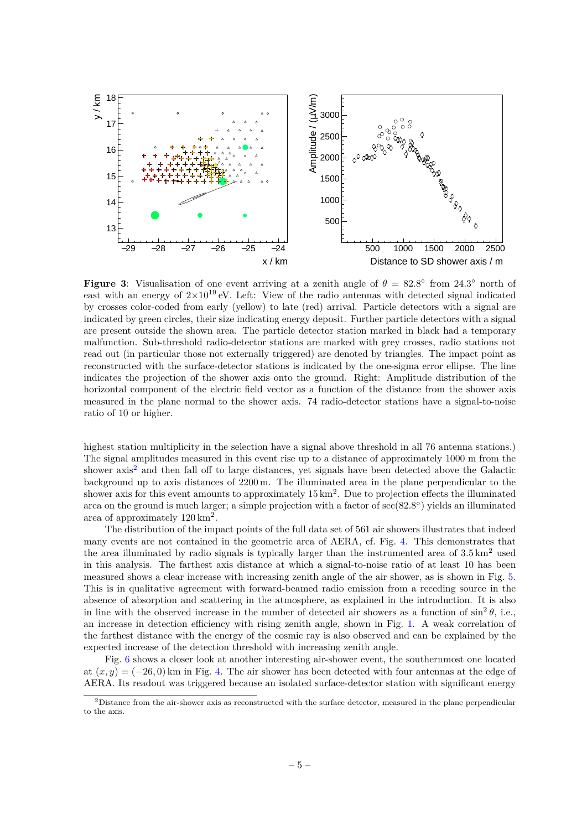<span id="page-12-0"></span>

**Figure 3:** Visualisation of one event arriving at a zenith angle of  $\theta = 82.8^\circ$  from 24.3° north of east with an energy of  $2\times10^{19}$  eV. Left: View of the radio antennas with detected signal indicated by crosses color-coded from early (yellow) to late (red) arrival. Particle detectors with a signal are indicated by green circles, their size indicating energy deposit. Further particle detectors with a signal are present outside the shown area. The particle detector station marked in black had a temporary malfunction. Sub-threshold radio-detector stations are marked with grey crosses, radio stations not read out (in particular those not externally triggered) are denoted by triangles. The impact point as reconstructed with the surface-detector stations is indicated by the one-sigma error ellipse. The line indicates the projection of the shower axis onto the ground. Right: Amplitude distribution of the horizontal component of the electric field vector as a function of the distance from the shower axis measured in the plane normal to the shower axis. 74 radio-detector stations have a signal-to-noise ratio of 10 or higher.

highest station multiplicity in the selection have a signal above threshold in all 76 antenna stations.) The signal amplitudes measured in this event rise up to a distance of approximately 1000 m from the shower axis<sup>[2](#page-12-1)</sup> and then fall off to large distances, yet signals have been detected above the Galactic background up to axis distances of 2200 m. The illuminated area in the plane perpendicular to the shower axis for this event amounts to approximately  $15 \text{ km}^2$ . Due to projection effects the illuminated area on the ground is much larger; a simple projection with a factor of sec(82.8°) yields an illuminated area of approximately  $120 \text{ km}^2$ .

The distribution of the impact points of the full data set of 561 air showers illustrates that indeed many events are not contained in the geometric area of AERA, cf. Fig. [4.](#page-13-0) This demonstrates that the area illuminated by radio signals is typically larger than the instrumented area of  $3.5 \text{ km}^2$  used in this analysis. The farthest axis distance at which a signal-to-noise ratio of at least 10 has been measured shows a clear increase with increasing zenith angle of the air shower, as is shown in Fig. [5.](#page-14-1) This is in qualitative agreement with forward-beamed radio emission from a receding source in the absence of absorption and scattering in the atmosphere, as explained in the introduction. It is also in line with the observed increase in the number of detected air showers as a function of  $\sin^2 \theta$ , i.e., an increase in detection efficiency with rising zenith angle, shown in Fig. [1.](#page-10-1) A weak correlation of the farthest distance with the energy of the cosmic ray is also observed and can be explained by the expected increase of the detection threshold with increasing zenith angle.

Fig. [6](#page-15-1) shows a closer look at another interesting air-shower event, the southernmost one located at  $(x, y) = (-26, 0)$  km in Fig. [4.](#page-13-0) The air shower has been detected with four antennas at the edge of AERA. Its readout was triggered because an isolated surface-detector station with significant energy

<span id="page-12-1"></span> $2$ Distance from the air-shower axis as reconstructed with the surface detector, measured in the plane perpendicular to the axis.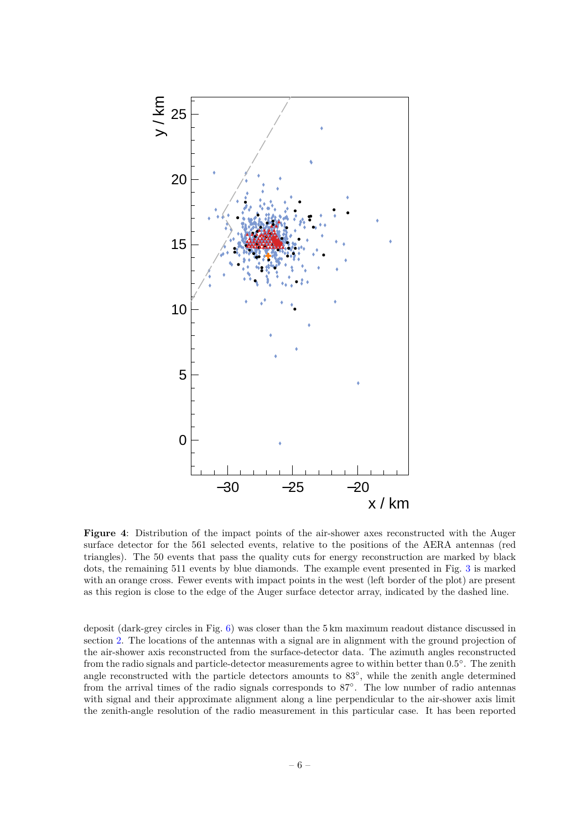<span id="page-13-0"></span>

**Figure 4**: Distribution of the impact points of the air-shower axes reconstructed with the Auger surface detector for the 561 selected events, relative to the positions of the AERA antennas (red triangles). The 50 events that pass the quality cuts for energy reconstruction are marked by black dots, the remaining 511 events by blue diamonds. The example event presented in Fig. [3](#page-12-0) is marked with an orange cross. Fewer events with impact points in the west (left border of the plot) are present as this region is close to the edge of the Auger surface detector array, indicated by the dashed line.

deposit (dark-grey circles in Fig. [6\)](#page-15-1) was closer than the 5 km maximum readout distance discussed in section [2.](#page-9-0) The locations of the antennas with a signal are in alignment with the ground projection of the air-shower axis reconstructed from the surface-detector data. The azimuth angles reconstructed from the radio signals and particle-detector measurements agree to within better than 0.5°. The zenith angle reconstructed with the particle detectors amounts to 83◦ , while the zenith angle determined from the arrival times of the radio signals corresponds to 87◦ . The low number of radio antennas with signal and their approximate alignment along a line perpendicular to the air-shower axis limit the zenith-angle resolution of the radio measurement in this particular case. It has been reported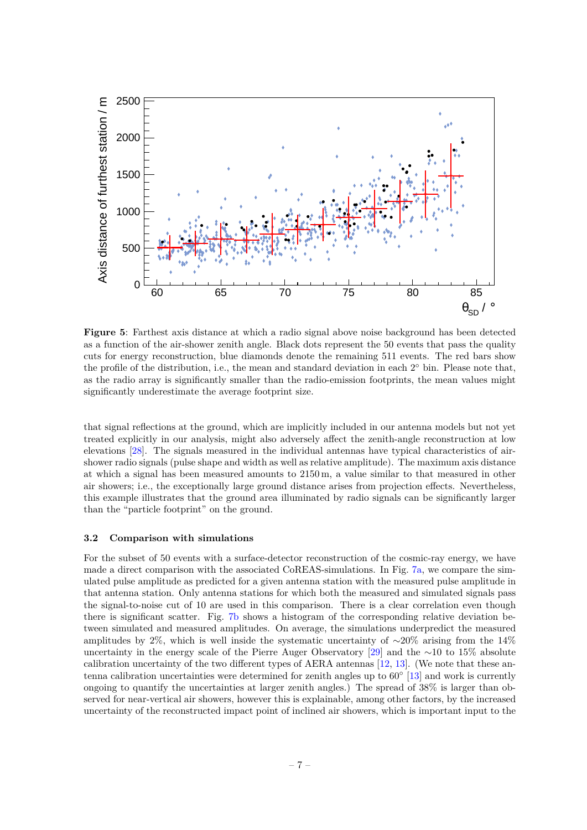<span id="page-14-1"></span>

**Figure 5**: Farthest axis distance at which a radio signal above noise background has been detected as a function of the air-shower zenith angle. Black dots represent the 50 events that pass the quality cuts for energy reconstruction, blue diamonds denote the remaining 511 events. The red bars show the profile of the distribution, i.e., the mean and standard deviation in each  $2^{\circ}$  bin. Please note that, as the radio array is significantly smaller than the radio-emission footprints, the mean values might significantly underestimate the average footprint size.

that signal reflections at the ground, which are implicitly included in our antenna models but not yet treated explicitly in our analysis, might also adversely affect the zenith-angle reconstruction at low elevations [\[28\]](#page-21-0). The signals measured in the individual antennas have typical characteristics of airshower radio signals (pulse shape and width as well as relative amplitude). The maximum axis distance at which a signal has been measured amounts to 2150 m, a value similar to that measured in other air showers; i.e., the exceptionally large ground distance arises from projection effects. Nevertheless, this example illustrates that the ground area illuminated by radio signals can be significantly larger than the "particle footprint" on the ground.

### <span id="page-14-0"></span>**3.2 Comparison with simulations**

For the subset of 50 events with a surface-detector reconstruction of the cosmic-ray energy, we have made a direct comparison with the associated CoREAS-simulations. In Fig. [7a,](#page-16-1) we compare the simulated pulse amplitude as predicted for a given antenna station with the measured pulse amplitude in that antenna station. Only antenna stations for which both the measured and simulated signals pass the signal-to-noise cut of 10 are used in this comparison. There is a clear correlation even though there is significant scatter. Fig. [7b](#page-16-1) shows a histogram of the corresponding relative deviation between simulated and measured amplitudes. On average, the simulations underpredict the measured amplitudes by 2%, which is well inside the systematic uncertainty of ∼20% arising from the 14% uncertainty in the energy scale of the Pierre Auger Observatory [\[29\]](#page-21-1) and the ∼10 to 15% absolute calibration uncertainty of the two different types of AERA antennas [\[12,](#page-20-8) [13\]](#page-20-9). (We note that these an-tenna calibration uncertainties were determined for zenith angles up to 60<sup>°</sup> [\[13\]](#page-20-9) and work is currently ongoing to quantify the uncertainties at larger zenith angles.) The spread of 38% is larger than observed for near-vertical air showers, however this is explainable, among other factors, by the increased uncertainty of the reconstructed impact point of inclined air showers, which is important input to the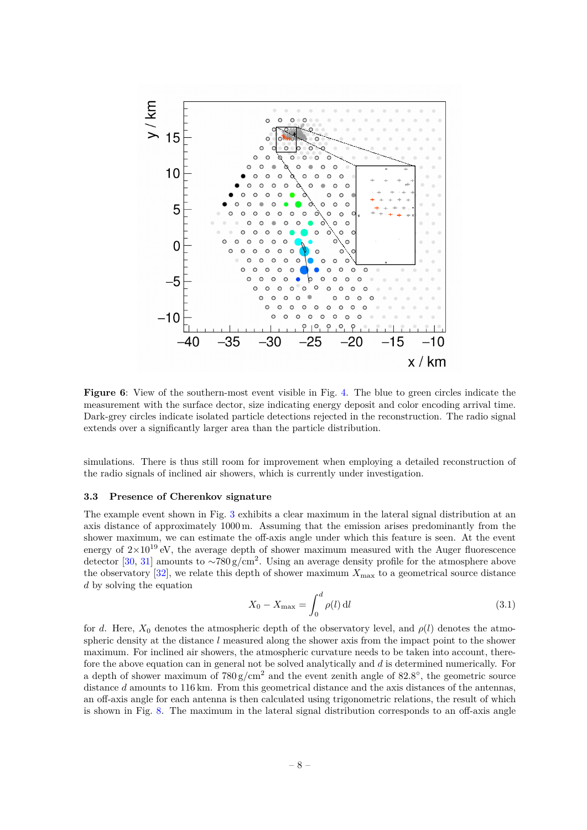<span id="page-15-1"></span>

**Figure 6**: View of the southern-most event visible in Fig. [4.](#page-13-0) The blue to green circles indicate the measurement with the surface dector, size indicating energy deposit and color encoding arrival time. Dark-grey circles indicate isolated particle detections rejected in the reconstruction. The radio signal extends over a significantly larger area than the particle distribution.

simulations. There is thus still room for improvement when employing a detailed reconstruction of the radio signals of inclined air showers, which is currently under investigation.

#### <span id="page-15-0"></span>**3.3 Presence of Cherenkov signature**

The example event shown in Fig. [3](#page-12-0) exhibits a clear maximum in the lateral signal distribution at an axis distance of approximately 1000 m. Assuming that the emission arises predominantly from the shower maximum, we can estimate the off-axis angle under which this feature is seen. At the event energy of  $2\times10^{19}$  eV, the average depth of shower maximum measured with the Auger fluorescence detector [\[30,](#page-21-2) [31\]](#page-21-3) amounts to  $\sim 780 \text{ g/cm}^2$ . Using an average density profile for the atmosphere above the observatory  $[32]$ , we relate this depth of shower maximum  $X_{\text{max}}$  to a geometrical source distance *d* by solving the equation

$$
X_0 - X_{\text{max}} = \int_0^d \rho(l) \, \mathrm{d}l \tag{3.1}
$$

for *d*. Here,  $X_0$  denotes the atmospheric depth of the observatory level, and  $\rho(l)$  denotes the atmospheric density at the distance *l* measured along the shower axis from the impact point to the shower maximum. For inclined air showers, the atmospheric curvature needs to be taken into account, therefore the above equation can in general not be solved analytically and *d* is determined numerically. For a depth of shower maximum of  $780 g/cm<sup>2</sup>$  and the event zenith angle of  $82.8°$ , the geometric source distance *d* amounts to 116 km. From this geometrical distance and the axis distances of the antennas, an off-axis angle for each antenna is then calculated using trigonometric relations, the result of which is shown in Fig. [8.](#page-17-0) The maximum in the lateral signal distribution corresponds to an off-axis angle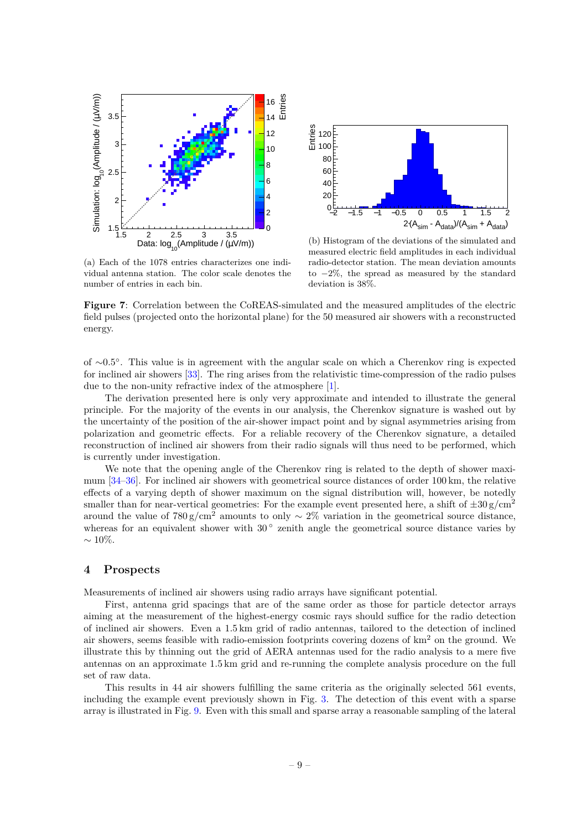<span id="page-16-1"></span>



(a) Each of the 1078 entries characterizes one individual antenna station. The color scale denotes the number of entries in each bin.

(b) Histogram of the deviations of the simulated and measured electric field amplitudes in each individual radio-detector station. The mean deviation amounts to −2%, the spread as measured by the standard deviation is 38%.

**Figure 7**: Correlation between the CoREAS-simulated and the measured amplitudes of the electric field pulses (projected onto the horizontal plane) for the 50 measured air showers with a reconstructed energy.

of ∼0*.*5 ◦ . This value is in agreement with the angular scale on which a Cherenkov ring is expected for inclined air showers [\[33\]](#page-21-5). The ring arises from the relativistic time-compression of the radio pulses due to the non-unity refractive index of the atmosphere [\[1\]](#page-19-0).

The derivation presented here is only very approximate and intended to illustrate the general principle. For the majority of the events in our analysis, the Cherenkov signature is washed out by the uncertainty of the position of the air-shower impact point and by signal asymmetries arising from polarization and geometric effects. For a reliable recovery of the Cherenkov signature, a detailed reconstruction of inclined air showers from their radio signals will thus need to be performed, which is currently under investigation.

We note that the opening angle of the Cherenkov ring is related to the depth of shower maximum [\[34–](#page-21-6)[36\]](#page-21-7). For inclined air showers with geometrical source distances of order 100 km, the relative effects of a varying depth of shower maximum on the signal distribution will, however, be notedly smaller than for near-vertical geometries: For the example event presented here, a shift of  $\pm 30 \text{ g/cm}^2$ around the value of  $780 \text{ g/cm}^2$  amounts to only ~ 2% variation in the geometrical source distance, whereas for an equivalent shower with 30° zenith angle the geometrical source distance varies by  $\sim$  10\%.

## <span id="page-16-0"></span>**4 Prospects**

Measurements of inclined air showers using radio arrays have significant potential.

First, antenna grid spacings that are of the same order as those for particle detector arrays aiming at the measurement of the highest-energy cosmic rays should suffice for the radio detection of inclined air showers. Even a 1.5 km grid of radio antennas, tailored to the detection of inclined air showers, seems feasible with radio-emission footprints covering dozens of  $km<sup>2</sup>$  on the ground. We illustrate this by thinning out the grid of AERA antennas used for the radio analysis to a mere five antennas on an approximate 1.5 km grid and re-running the complete analysis procedure on the full set of raw data.

This results in 44 air showers fulfilling the same criteria as the originally selected 561 events, including the example event previously shown in Fig. [3.](#page-12-0) The detection of this event with a sparse array is illustrated in Fig. [9.](#page-18-1) Even with this small and sparse array a reasonable sampling of the lateral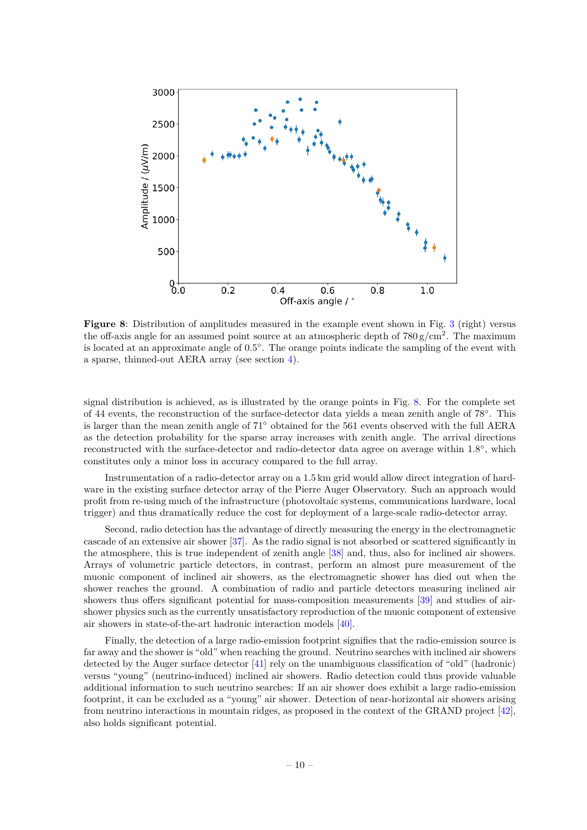<span id="page-17-0"></span>

**Figure 8**: Distribution of amplitudes measured in the example event shown in Fig. [3](#page-12-0) (right) versus the off-axis angle for an assumed point source at an atmospheric depth of  $780 \text{ g/cm}^2$ . The maximum is located at an approximate angle of 0.5◦ . The orange points indicate the sampling of the event with a sparse, thinned-out AERA array (see section [4\)](#page-16-0).

signal distribution is achieved, as is illustrated by the orange points in Fig. [8.](#page-17-0) For the complete set of 44 events, the reconstruction of the surface-detector data yields a mean zenith angle of 78°. This is larger than the mean zenith angle of 71◦ obtained for the 561 events observed with the full AERA as the detection probability for the sparse array increases with zenith angle. The arrival directions reconstructed with the surface-detector and radio-detector data agree on average within 1.8°, which constitutes only a minor loss in accuracy compared to the full array.

Instrumentation of a radio-detector array on a 1.5 km grid would allow direct integration of hardware in the existing surface detector array of the Pierre Auger Observatory. Such an approach would profit from re-using much of the infrastructure (photovoltaic systems, communications hardware, local trigger) and thus dramatically reduce the cost for deployment of a large-scale radio-detector array.

Second, radio detection has the advantage of directly measuring the energy in the electromagnetic cascade of an extensive air shower [\[37\]](#page-21-8). As the radio signal is not absorbed or scattered significantly in the atmosphere, this is true independent of zenith angle [\[38\]](#page-21-9) and, thus, also for inclined air showers. Arrays of volumetric particle detectors, in contrast, perform an almost pure measurement of the muonic component of inclined air showers, as the electromagnetic shower has died out when the shower reaches the ground. A combination of radio and particle detectors measuring inclined air showers thus offers significant potential for mass-composition measurements [\[39\]](#page-21-10) and studies of airshower physics such as the currently unsatisfactory reproduction of the muonic component of extensive air showers in state-of-the-art hadronic interaction models [\[40\]](#page-21-11).

Finally, the detection of a large radio-emission footprint signifies that the radio-emission source is far away and the shower is "old" when reaching the ground. Neutrino searches with inclined air showers detected by the Auger surface detector [\[41\]](#page-21-12) rely on the unambiguous classification of "old" (hadronic) versus "young" (neutrino-induced) inclined air showers. Radio detection could thus provide valuable additional information to such neutrino searches: If an air shower does exhibit a large radio-emission footprint, it can be excluded as a "young" air shower. Detection of near-horizontal air showers arising from neutrino interactions in mountain ridges, as proposed in the context of the GRAND project [\[42\]](#page-21-13), also holds significant potential.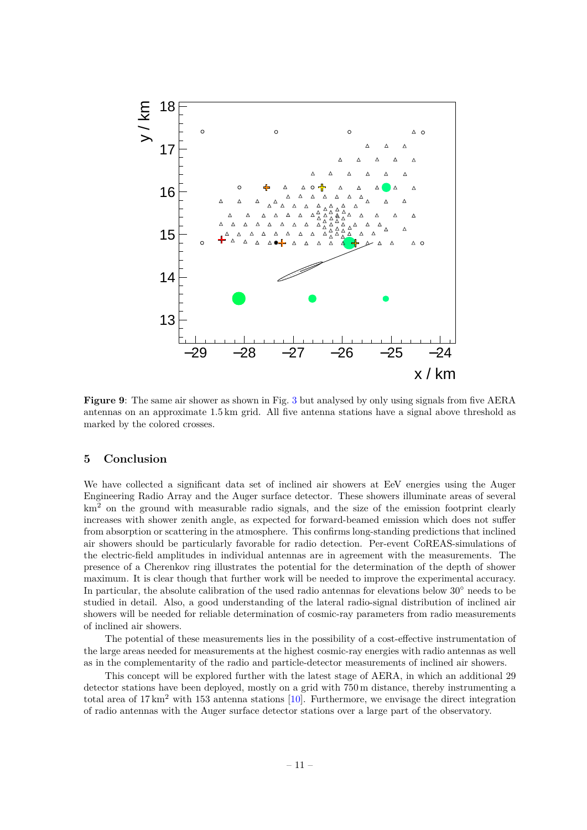<span id="page-18-1"></span>

**Figure 9**: The same air shower as shown in Fig. [3](#page-12-0) but analysed by only using signals from five AERA antennas on an approximate 1.5 km grid. All five antenna stations have a signal above threshold as marked by the colored crosses.

#### <span id="page-18-0"></span>**5 Conclusion**

We have collected a significant data set of inclined air showers at EeV energies using the Auger Engineering Radio Array and the Auger surface detector. These showers illuminate areas of several km<sup>2</sup> on the ground with measurable radio signals, and the size of the emission footprint clearly increases with shower zenith angle, as expected for forward-beamed emission which does not suffer from absorption or scattering in the atmosphere. This confirms long-standing predictions that inclined air showers should be particularly favorable for radio detection. Per-event CoREAS-simulations of the electric-field amplitudes in individual antennas are in agreement with the measurements. The presence of a Cherenkov ring illustrates the potential for the determination of the depth of shower maximum. It is clear though that further work will be needed to improve the experimental accuracy. In particular, the absolute calibration of the used radio antennas for elevations below 30◦ needs to be studied in detail. Also, a good understanding of the lateral radio-signal distribution of inclined air showers will be needed for reliable determination of cosmic-ray parameters from radio measurements of inclined air showers.

The potential of these measurements lies in the possibility of a cost-effective instrumentation of the large areas needed for measurements at the highest cosmic-ray energies with radio antennas as well as in the complementarity of the radio and particle-detector measurements of inclined air showers.

This concept will be explored further with the latest stage of AERA, in which an additional 29 detector stations have been deployed, mostly on a grid with 750 m distance, thereby instrumenting a total area of  $17 \text{ km}^2$  with 153 antenna stations [\[10\]](#page-20-6). Furthermore, we envisage the direct integration of radio antennas with the Auger surface detector stations over a large part of the observatory.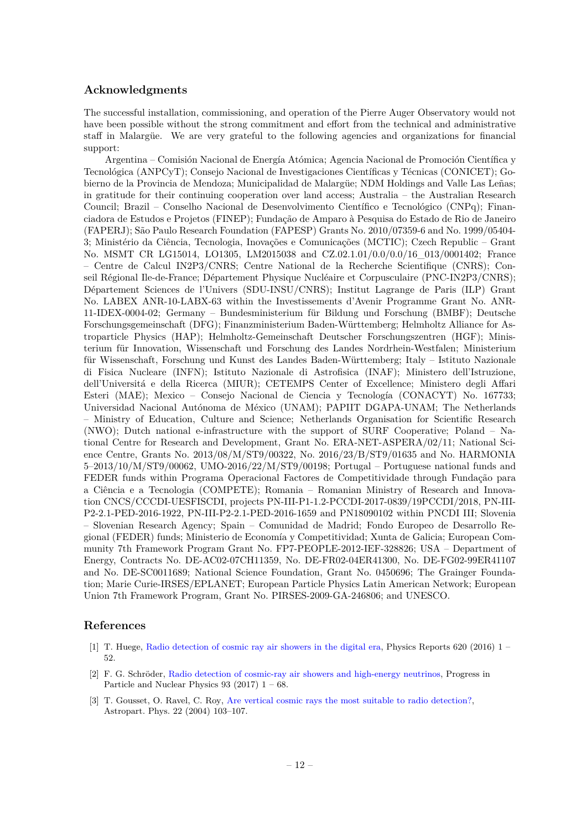# **Acknowledgments**

The successful installation, commissioning, and operation of the Pierre Auger Observatory would not have been possible without the strong commitment and effort from the technical and administrative staff in Malargüe. We are very grateful to the following agencies and organizations for financial support:

Argentina – Comisión Nacional de Energía Atómica; Agencia Nacional de Promoción Científica y Tecnológica (ANPCyT); Consejo Nacional de Investigaciones Científicas y Técnicas (CONICET); Gobierno de la Provincia de Mendoza; Municipalidad de Malargüe; NDM Holdings and Valle Las Leñas; in gratitude for their continuing cooperation over land access; Australia – the Australian Research Council; Brazil – Conselho Nacional de Desenvolvimento Científico e Tecnológico (CNPq); Financiadora de Estudos e Projetos (FINEP); Fundação de Amparo à Pesquisa do Estado de Rio de Janeiro (FAPERJ); São Paulo Research Foundation (FAPESP) Grants No. 2010/07359-6 and No. 1999/05404- 3; Ministério da Ciência, Tecnologia, Inovações e Comunicações (MCTIC); Czech Republic – Grant No. MSMT CR LG15014, LO1305, LM2015038 and CZ.02.1.01/0.0/0.0/16\_013/0001402; France – Centre de Calcul IN2P3/CNRS; Centre National de la Recherche Scientifique (CNRS); Conseil Régional Ile-de-France; Département Physique Nucléaire et Corpusculaire (PNC-IN2P3/CNRS); Département Sciences de l'Univers (SDU-INSU/CNRS); Institut Lagrange de Paris (ILP) Grant No. LABEX ANR-10-LABX-63 within the Investissements d'Avenir Programme Grant No. ANR-11-IDEX-0004-02; Germany – Bundesministerium für Bildung und Forschung (BMBF); Deutsche Forschungsgemeinschaft (DFG); Finanzministerium Baden-Württemberg; Helmholtz Alliance for Astroparticle Physics (HAP); Helmholtz-Gemeinschaft Deutscher Forschungszentren (HGF); Ministerium für Innovation, Wissenschaft und Forschung des Landes Nordrhein-Westfalen; Ministerium für Wissenschaft, Forschung und Kunst des Landes Baden-Württemberg; Italy – Istituto Nazionale di Fisica Nucleare (INFN); Istituto Nazionale di Astrofisica (INAF); Ministero dell'Istruzione, dell'Universitá e della Ricerca (MIUR); CETEMPS Center of Excellence; Ministero degli Affari Esteri (MAE); Mexico – Consejo Nacional de Ciencia y Tecnología (CONACYT) No. 167733; Universidad Nacional Autónoma de México (UNAM); PAPIIT DGAPA-UNAM; The Netherlands – Ministry of Education, Culture and Science; Netherlands Organisation for Scientific Research (NWO); Dutch national e-infrastructure with the support of SURF Cooperative; Poland – National Centre for Research and Development, Grant No. ERA-NET-ASPERA/02/11; National Science Centre, Grants No. 2013/08/M/ST9/00322, No. 2016/23/B/ST9/01635 and No. HARMONIA 5–2013/10/M/ST9/00062, UMO-2016/22/M/ST9/00198; Portugal – Portuguese national funds and FEDER funds within Programa Operacional Factores de Competitividade through Fundação para a Ciência e a Tecnologia (COMPETE); Romania – Romanian Ministry of Research and Innovation CNCS/CCCDI-UESFISCDI, projects PN-III-P1-1.2-PCCDI-2017-0839/19PCCDI/2018, PN-III-P2-2.1-PED-2016-1922, PN-III-P2-2.1-PED-2016-1659 and PN18090102 within PNCDI III; Slovenia – Slovenian Research Agency; Spain – Comunidad de Madrid; Fondo Europeo de Desarrollo Regional (FEDER) funds; Ministerio de Economía y Competitividad; Xunta de Galicia; European Community 7th Framework Program Grant No. FP7-PEOPLE-2012-IEF-328826; USA – Department of Energy, Contracts No. DE-AC02-07CH11359, No. DE-FR02-04ER41300, No. DE-FG02-99ER41107 and No. DE-SC0011689; National Science Foundation, Grant No. 0450696; The Grainger Foundation; Marie Curie-IRSES/EPLANET; European Particle Physics Latin American Network; European Union 7th Framework Program, Grant No. PIRSES-2009-GA-246806; and UNESCO.

# **References**

- <span id="page-19-0"></span>[1] T. Huege, [Radio detection of cosmic ray air showers in the digital era,](http://dx.doi.org/http://dx.doi.org/10.1016/j.physrep.2016.02.001) Physics Reports 620 (2016) 1 – 52.
- <span id="page-19-1"></span>[2] F. G. Schröder, [Radio detection of cosmic-ray air showers and high-energy neutrinos,](http://dx.doi.org/http://dx.doi.org/10.1016/j.ppnp.2016.12.002) Progress in Particle and Nuclear Physics  $93$  (2017)  $1 - 68$ .
- <span id="page-19-2"></span>[3] T. Gousset, O. Ravel, C. Roy, [Are vertical cosmic rays the most suitable to radio detection?,](https://doi.org/10.1016/j.astropartphys.2004.05.004) Astropart. Phys. 22 (2004) 103–107.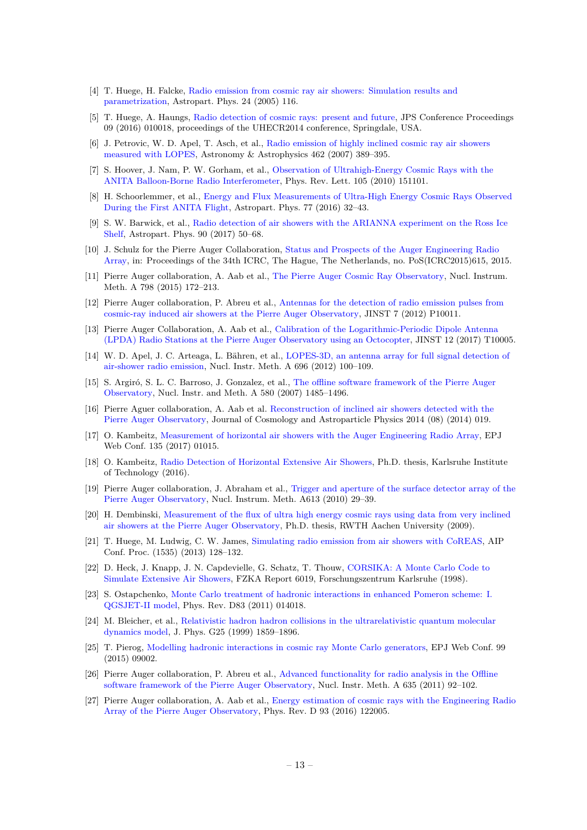- <span id="page-20-0"></span>[4] T. Huege, H. Falcke, [Radio emission from cosmic ray air showers: Simulation results and](http://dx.doi.org/10.1016/j.astropartphys.2005.05.008) [parametrization,](http://dx.doi.org/10.1016/j.astropartphys.2005.05.008) Astropart. Phys. 24 (2005) 116.
- <span id="page-20-1"></span>[5] T. Huege, A. Haungs, [Radio detection of cosmic rays: present and future,](http://dx.doi.org/10.7566/JPSCP.9.010018) JPS Conference Proceedings 09 (2016) 010018, proceedings of the UHECR2014 conference, Springdale, USA.
- <span id="page-20-2"></span>[6] J. Petrovic, W. D. Apel, T. Asch, et al., [Radio emission of highly inclined cosmic ray air showers](http://dx.doi.org/10.1051/0004-6361:20065732) [measured with LOPES,](http://dx.doi.org/10.1051/0004-6361:20065732) Astronomy & Astrophysics 462 (2007) 389–395.
- <span id="page-20-3"></span>[7] S. Hoover, J. Nam, P. W. Gorham, et al., [Observation of Ultrahigh-Energy Cosmic Rays with the](http://dx.doi.org/10.1103/PhysRevLett.105.151101) [ANITA Balloon-Borne Radio Interferometer,](http://dx.doi.org/10.1103/PhysRevLett.105.151101) Phys. Rev. Lett. 105 (2010) 151101.
- <span id="page-20-4"></span>[8] H. Schoorlemmer, et al., [Energy and Flux Measurements of Ultra-High Energy Cosmic Rays Observed](http://dx.doi.org/10.1016/j.astropartphys.2016.01.001) [During the First ANITA Flight,](http://dx.doi.org/10.1016/j.astropartphys.2016.01.001) Astropart. Phys. 77 (2016) 32–43.
- <span id="page-20-5"></span>[9] S. W. Barwick, et al., [Radio detection of air showers with the ARIANNA experiment on the Ross Ice](http://dx.doi.org/10.1016/j.astropartphys.2017.02.003) [Shelf,](http://dx.doi.org/10.1016/j.astropartphys.2017.02.003) Astropart. Phys. 90 (2017) 50–68.
- <span id="page-20-6"></span>[10] J. Schulz for the Pierre Auger Collaboration, [Status and Prospects of the Auger Engineering Radio](https://doi.org/10.22323/1.236.0615) [Array,](https://doi.org/10.22323/1.236.0615) in: Proceedings of the 34th ICRC, The Hague, The Netherlands, no. PoS(ICRC2015)615, 2015.
- <span id="page-20-7"></span>[11] Pierre Auger collaboration, A. Aab et al., [The Pierre Auger Cosmic Ray Observatory,](https://doi.org/10.1016/j.nima.2015.06.058) Nucl. Instrum. Meth. A 798 (2015) 172–213.
- <span id="page-20-8"></span>[12] Pierre Auger collaboration, P. Abreu et al., [Antennas for the detection of radio emission pulses from](http://dx.doi.org/10.1088/1748-0221/7/10/P10011) [cosmic-ray induced air showers at the Pierre Auger Observatory,](http://dx.doi.org/10.1088/1748-0221/7/10/P10011) JINST 7 (2012) P10011.
- <span id="page-20-9"></span>[13] Pierre Auger Collaboration, A. Aab et al., [Calibration of the Logarithmic-Periodic Dipole Antenna](http://10.1088/1748-0221/12/10/T10005) [\(LPDA\) Radio Stations at the Pierre Auger Observatory using an Octocopter,](http://10.1088/1748-0221/12/10/T10005) JINST 12 (2017) T10005.
- <span id="page-20-10"></span>[14] W. D. Apel, J. C. Arteaga, L. Bähren, et al., [LOPES-3D, an antenna array for full signal detection of](https://doi.org/10.1016/j.nima.2012.08.082) [air-shower radio emission,](https://doi.org/10.1016/j.nima.2012.08.082) Nucl. Instr. Meth. A 696 (2012) 100–109.
- <span id="page-20-11"></span>[15] S. Argiró, S. L. C. Barroso, J. Gonzalez, et al., [The offline software framework of the Pierre Auger](http://dx.doi.org/10.1016/j.nima.2007.07.010) [Observatory,](http://dx.doi.org/10.1016/j.nima.2007.07.010) Nucl. Instr. and Meth. A 580 (2007) 1485–1496.
- <span id="page-20-12"></span>[16] Pierre Aguer collaboration, A. Aab et al. [Reconstruction of inclined air showers detected with the](https://doi.org/10.1088/1475-7516/2014/08/019) [Pierre Auger Observatory,](https://doi.org/10.1088/1475-7516/2014/08/019) Journal of Cosmology and Astroparticle Physics 2014 (08) (2014) 019.
- <span id="page-20-13"></span>[17] O. Kambeitz, [Measurement of horizontal air showers with the Auger Engineering Radio Array,](https://doi.org/10.1051/epjconf/201713501015) EPJ Web Conf. 135 (2017) 01015.
- <span id="page-20-14"></span>[18] O. Kambeitz, [Radio Detection of Horizontal Extensive Air Showers,](http://nbn-resolving.org/urn:nbn:de:swb:90-557582) Ph.D. thesis, Karlsruhe Institute of Technology (2016).
- <span id="page-20-15"></span>[19] Pierre Auger collaboration, J. Abraham et al., [Trigger and aperture of the surface detector array of the](http://dx.doi.org/10.1016/j.nima.2009.11.018) [Pierre Auger Observatory,](http://dx.doi.org/10.1016/j.nima.2009.11.018) Nucl. Instrum. Meth. A613 (2010) 29–39.
- <span id="page-20-16"></span>[20] H. Dembinski, [Measurement of the flux of ultra high energy cosmic rays using data from very inclined](https://web.physik.rwth-aachen.de/~hebbeker/theses/dembinski_phd.pdf) [air showers at the Pierre Auger Observatory,](https://web.physik.rwth-aachen.de/~hebbeker/theses/dembinski_phd.pdf) Ph.D. thesis, RWTH Aachen University (2009).
- <span id="page-20-17"></span>[21] T. Huege, M. Ludwig, C. W. James, [Simulating radio emission from air showers with CoREAS,](https://doi.org/10.1063/1.4807534) AIP Conf. Proc. (1535) (2013) 128–132.
- <span id="page-20-18"></span>[22] D. Heck, J. Knapp, J. N. Capdevielle, G. Schatz, T. Thouw, [CORSIKA: A Monte Carlo Code to](http://digbib.ubka.uni-karlsruhe.de/volltexte/fzk/6019/6019.pdf) [Simulate Extensive Air Showers,](http://digbib.ubka.uni-karlsruhe.de/volltexte/fzk/6019/6019.pdf) FZKA Report 6019, Forschungszentrum Karlsruhe (1998).
- <span id="page-20-19"></span>[23] S. Ostapchenko, [Monte Carlo treatment of hadronic interactions in enhanced Pomeron scheme: I.](http://dx.doi.org/10.1103/PhysRevD.83.014018) [QGSJET-II model,](http://dx.doi.org/10.1103/PhysRevD.83.014018) Phys. Rev. D83 (2011) 014018.
- <span id="page-20-20"></span>[24] M. Bleicher, et al., [Relativistic hadron hadron collisions in the ultrarelativistic quantum molecular](http://dx.doi.org/10.1088/0954-3899/25/9/308) [dynamics model,](http://dx.doi.org/10.1088/0954-3899/25/9/308) J. Phys. G25 (1999) 1859–1896.
- <span id="page-20-21"></span>[25] T. Pierog, [Modelling hadronic interactions in cosmic ray Monte Carlo generators,](http://dx.doi.org/10.1051/epjconf/20159909002) EPJ Web Conf. 99 (2015) 09002.
- <span id="page-20-22"></span>[26] Pierre Auger collaboration, P. Abreu et al., [Advanced functionality for radio analysis in the Offline](http://dx.doi.org/10.1016/j.nima.2011.01.049) [software framework of the Pierre Auger Observatory,](http://dx.doi.org/10.1016/j.nima.2011.01.049) Nucl. Instr. Meth. A 635 (2011) 92–102.
- <span id="page-20-23"></span>[27] Pierre Auger collaboration, A. Aab et al., [Energy estimation of cosmic rays with the Engineering Radio](http://dx.doi.org/10.1103/PhysRevD.93.122005) [Array of the Pierre Auger Observatory,](http://dx.doi.org/10.1103/PhysRevD.93.122005) Phys. Rev. D 93 (2016) 122005.